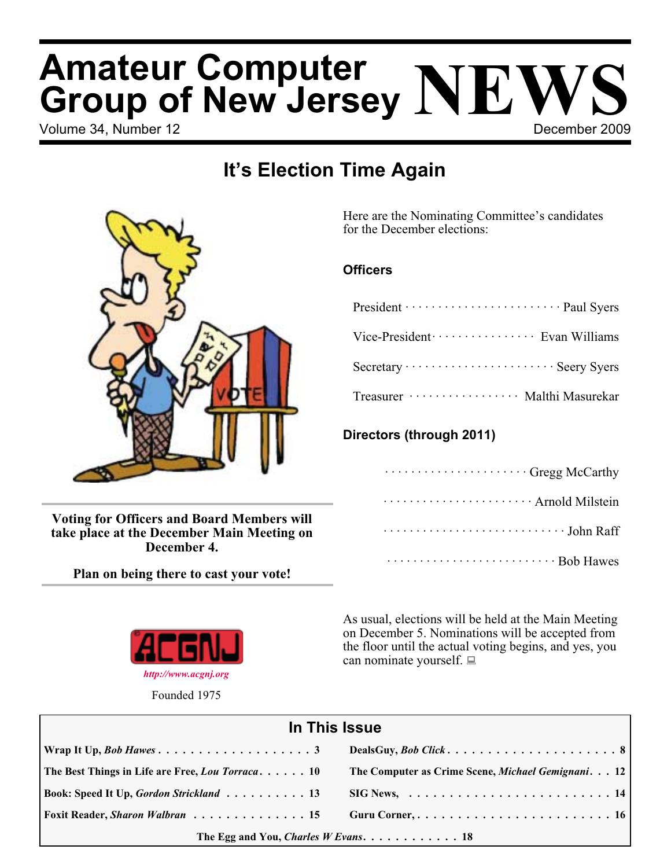# Volume 34, Number 12 **December 2009 Amateur Computer Group of New Jersey NEWS**

## **It's Election Time Again**



**Voting for Officers and Board Members will take place at the December Main Meeting on December 4.**

**Plan on being there to cast your vote!**



Founded 1975

Here are the Nominating Committee's candidates for the December elections:

## **Officers**

| President ······························· Paul Syers |
|------------------------------------------------------|
| Vice-President ····················· Evan Williams   |
|                                                      |
| Treasurer ··················· Malthi Masurekar       |

## **Directors (through 2011)**

| Gregg McCarthy                                               |
|--------------------------------------------------------------|
| Arnold Milstein                                              |
| $\cdots \cdots \cdots \cdots \cdots \cdots \cdots$ John Raff |
| Bob Hawes                                                    |

As usual, elections will be held at the Main Meeting on December 5. Nominations will be accepted from the floor until the actual voting begins, and yes, you can nominate yourself.  $\Box$ 

| In This Issue                                                             |                                                                               |  |
|---------------------------------------------------------------------------|-------------------------------------------------------------------------------|--|
|                                                                           |                                                                               |  |
| The Best Things in Life are Free, Lou Torraca 10                          | The Computer as Crime Scene, Michael Gemignani. 12                            |  |
| Book: Speed It Up, Gordon Strickland 13                                   | $\text{SIG News}, \ldots \ldots \ldots \ldots \ldots \ldots \ldots \ldots 14$ |  |
| Foxit Reader, Sharon Walbran  15                                          |                                                                               |  |
| The Egg and You, <i>Charles W Evans.</i> $\ldots \ldots \ldots \ldots 18$ |                                                                               |  |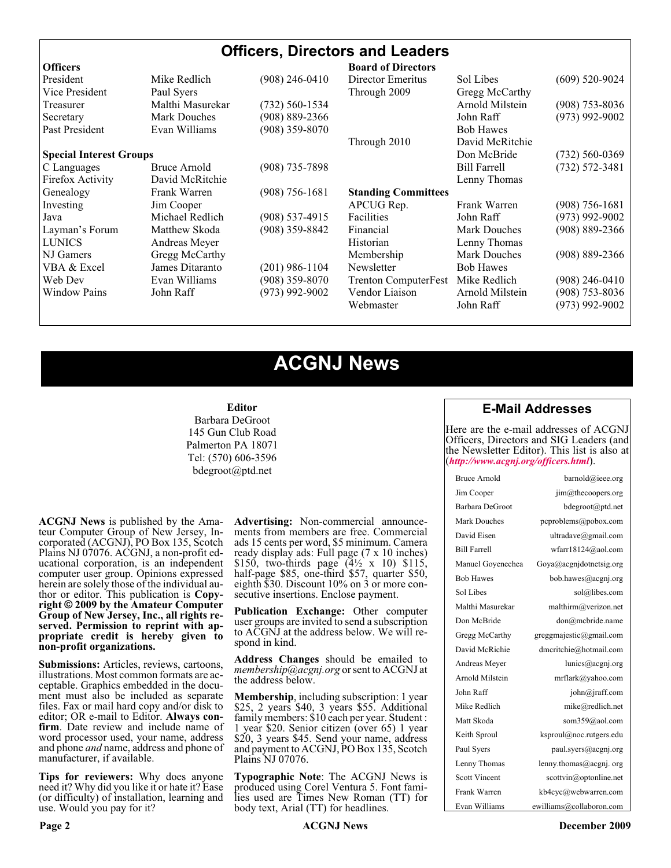### **Officers, Directors and Leaders Officers Board of Directors**<br>President **Mike Redlich** (908) 246-0410 Director Emeritus President Mike Redlich (908) 246-0410 Director Emeritus Sol Libes (609) 520-9024 Vice President Paul Syers **Property** Through 2009 Gregg McCarthy Treasurer Malthi Masurekar (732) 560-1534 Arnold Milstein (908) 753-8036 Secretary Mark Douches (908) 889-2366 John Raff (973) 992-9002 Past President Evan Williams (908) 359-8070 Bob Hawes Through 2010 David McRitchie **Special Interest Groups Don McBride** (732) 560-0369 C Languages Bruce Arnold (908) 735-7898 Bill Farrell (732) 572-3481 Firefox Activity David McRitchie Lenny Thomas Genealogy Frank Warren (908) 756-1681 **Standing Committees** Investing Jim Cooper APCUG Rep. Frank Warren (908) 756-1681 Java Michael Redlich (908) 537-4915 Facilities John Raff (973) 992-9002 Layman's Forum Matthew Skoda (908) 359-8842 Financial Mark Douches (908) 889-2366 LUNICS Andreas Meyer Historian Historian Lenny Thomas NJ Gamers Gregg McCarthy Membership Mark Douches (908) 889-2366 VBA & Excel James Ditaranto (201) 986-1104 Newsletter Bob Hawes Web Dev Evan Williams (908) 359-8070 Trenton ComputerFest Mike Redlich (908) 246-0410 Window Pains John Raff (973) 992-9002 Vendor Liaison Arnold Milstein (908) 753-8036 Webmaster John Raff (973) 992-9002

## **ACGNJ News**

#### **Editor**

Barbara DeGroot 145 Gun Club Road Palmerton PA 18071 Tel: (570) 606-3596 bdegroot@ptd.net

**ACGNJ News** is published by the Ama- teur Computer Group of New Jersey, In- corporated (ACGNJ), PO Box 135, Scotch Plains NJ 07076. ACGNJ, a non-profit ed-<br>ucational corporation, is an independent computer user group. Opinions expressed herein are solely those of the individual author or editor. This publication is **Copy-**<br>**right** © 2009 by the Amateur Computer<br>**Group of New Jersey, Inc., all rights re-Group of New Jersey, Inc., all rights re- served. Permission to reprint with ap- propriate credit is hereby given to non-profit organizations.**

**Submissions:** Articles, reviews, cartoons, illustrations. Most common formats are ac- ceptable. Graphics embedded in the docu- ment must also be included as separate files. Fax or mail hard copy and/or disk to editor; OR e-mail to Editor. Always confirm. Date review and include name of word processor used, your name, address and phone *and* name, address and phone of manufacturer, if available.

**Tips for reviewers:** Why does anyone need it? Why did you like it or hate it? Ease (or difficulty) of installation, learning and use. Would you pay for it?

**Advertising:** Non-commercial announce- ments from members are free. Commercial ads 15 cents per word, \$5 minimum. Camera ready display ads: Full page (7 x 10 inches) \$150, two-thirds page  $(4\frac{1}{2} \times 10)$  \$115, half-page \$85, one-third \$57, quarter \$50, eighth \$30. Discount 10% on 3 or more con- secutive insertions. Enclose payment.

**Publication Exchange:** Other computer user groups are invited to send a subscription to ACGNJ at the address below. We will re- spond in kind.

**Address Changes** should be emailed to *membership@acgnj.org* or sent to ACGNJ at the address below.

**Membership**, including subscription: 1 year \$25, 2 years \$40, 3 years \$55. Additional family members: \$10 each per year. Student : 1 year \$20. Senior citizen (over 65) 1 year \$20, 3 years \$45. Send your name, address and payment to ACGNJ, PO Box 135, Scotch Plains NJ 07076.

**Typographic Note**: The ACGNJ News is produced using Corel Ventura 5. Font fami- lies used are Times New Roman (TT) for body text, Arial (TT) for headlines.

## **E-Mail Addresses**

Here are the e-mail addresses of ACGNJ Officers, Directors and SIG Leaders (and the Newsletter Editor). This list is also at (*<http://www.acgnj.org/officers.html>*).

| Bruce Arnold         | barnold@ieee.org                     |
|----------------------|--------------------------------------|
| Jim Cooper           | jim@thecoopers.org                   |
| Barbara DeGroot      | bdegroot@ptd.net                     |
| Mark Douches         | pcproblems@pobox.com                 |
| David Eisen          | ultradave@gmail.com                  |
| <b>Bill Farrell</b>  | wfarr18124@aol.com                   |
| Manuel Goyenechea    | Goya@acgnidotnetsig.org              |
| <b>Bob Hawes</b>     | bob.hawes@acgnj.org                  |
| Sol Libes            | sol@libes.com                        |
| Malthi Masurekar     | malthirm@verizon.net                 |
| Don McBride          | don@mcbride.name                     |
| Gregg McCarthy       | greggmajestic@gmail.com              |
| David McRichie       | dmcritchie@hotmail.com               |
| Andreas Meyer        | lunics@acgnj.org                     |
| Arnold Milstein      | mrflark@yahoo.com                    |
| John Raff            | $\overline{\text{iohn}(a)}$ raff.com |
| Mike Redlich         | mike@redlich.net                     |
| Matt Skoda           | som359@aol.com                       |
| Keith Sproul         | ksproul@noc.rutgers.edu              |
| Paul Syers           | paul.syers@acgnj.org                 |
| Lenny Thomas         | lenny.thomas@acgnj.org               |
| <b>Scott Vincent</b> | scottvin@optonline.net               |
| Frank Warren         | kb4cyc@webwarren.com                 |
| Evan Williams        | ewilliams@collaboron.com             |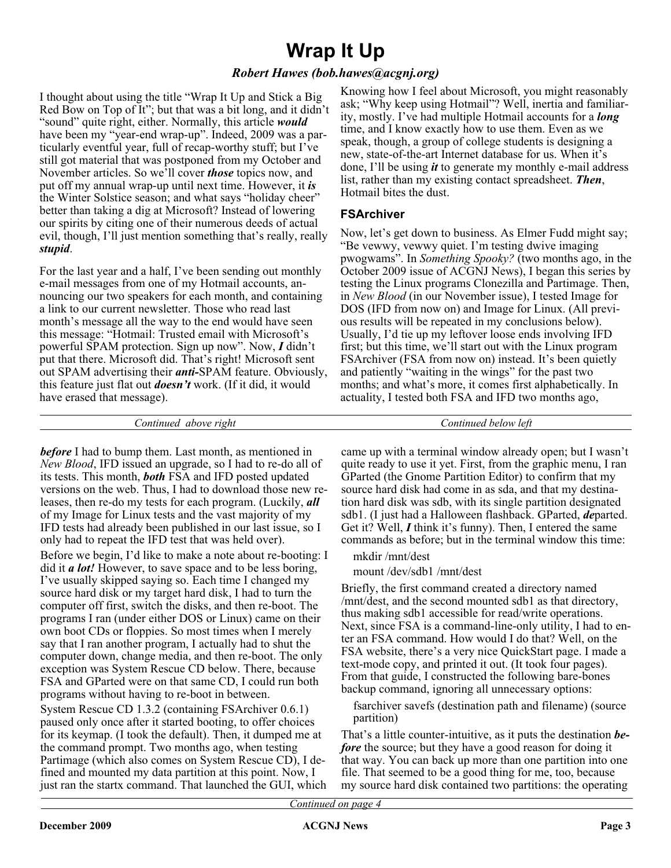## **Wrap It Up**

## *Robert Hawes (bob.hawes@acgnj.org)*

I thought about using the title "Wrap It Up and Stick a Big Red Bow on Top of It"; but that was a bit long, and it didn't "sound" quite right, either. Normally, this article *would* have been my "year-end wrap-up". Indeed, 2009 was a particularly eventful year, full of recap-worthy stuff; but I've still got material that was postponed from my October and November articles. So we'll cover *those* topics now, and put off my annual wrap-up until next time. However, it *is* the Winter Solstice season; and what says "holiday cheer" better than taking a dig at Microsoft? Instead of lowering our spirits by citing one of their numerous deeds of actual evil, though, I'll just mention something that's really, really *stupid*.

For the last year and a half, I've been sending out monthly e-mail messages from one of my Hotmail accounts, announcing our two speakers for each month, and containing a link to our current newsletter. Those who read last month's message all the way to the end would have seen this message: "Hotmail: Trusted email with Microsoft's powerful SPAM protection. Sign up now". Now, *I* didn't put that there. Microsoft did. That's right! Microsoft sent out SPAM advertising their *anti-*SPAM feature. Obviously, this feature just flat out *doesn't* work. (If it did, it would have erased that message).

Knowing how I feel about Microsoft, you might reasonably ask; "Why keep using Hotmail"? Well, inertia and familiarity, mostly. I've had multiple Hotmail accounts for a *long* time, and I know exactly how to use them. Even as we speak, though, a group of college students is designing a new, state-of-the-art Internet database for us. When it's done, I'll be using *it* to generate my monthly e-mail address list, rather than my existing contact spreadsheet. *Then*, Hotmail bites the dust.

## **FSArchiver**

Now, let's get down to business. As Elmer Fudd might say; "Be vewwy, vewwy quiet. I'm testing dwive imaging pwogwams". In *Something Spooky?* (two months ago, in the October 2009 issue of ACGNJ News), I began this series by testing the Linux programs Clonezilla and Partimage. Then, in *New Blood* (in our November issue), I tested Image for DOS (IFD from now on) and Image for Linux. (All previous results will be repeated in my conclusions below). Usually, I'd tie up my leftover loose ends involving IFD first; but this time, we'll start out with the Linux program FSArchiver (FSA from now on) instead. It's been quietly and patiently "waiting in the wings" for the past two months; and what's more, it comes first alphabetically. In actuality, I tested both FSA and IFD two months ago,

*Continued above right Continued below left*

*before* I had to bump them. Last month, as mentioned in *New Blood*, IFD issued an upgrade, so I had to re-do all of its tests. This month, *both* FSA and IFD posted updated versions on the web. Thus, I had to download those new releases, then re-do my tests for each program. (Luckily, *all* of my Image for Linux tests and the vast majority of my IFD tests had already been published in our last issue, so I only had to repeat the IFD test that was held over). Before we begin, I'd like to make a note about re-booting: I did it *a lot!* However, to save space and to be less boring, I've usually skipped saying so. Each time I changed my source hard disk or my target hard disk, I had to turn the computer off first, switch the disks, and then re-boot. The programs I ran (under either DOS or Linux) came on their own boot CDs or floppies. So most times when I merely say that I ran another program, I actually had to shut the computer down, change media, and then re-boot. The only exception was System Rescue CD below. There, because FSA and GParted were on that same CD, I could run both programs without having to re-boot in between.

System Rescue CD 1.3.2 (containing FSArchiver 0.6.1) paused only once after it started booting, to offer choices for its keymap. (I took the default). Then, it dumped me at the command prompt. Two months ago, when testing Partimage (which also comes on System Rescue CD), I defined and mounted my data partition at this point. Now, I just ran the startx command. That launched the GUI, which

came up with a terminal window already open; but I wasn't quite ready to use it yet. First, from the graphic menu, I ran GParted (the Gnome Partition Editor) to confirm that my source hard disk had come in as sda, and that my destination hard disk was sdb, with its single partition designated sdb1. (I just had a Halloween flashback. GParted, *de*parted. Get it? Well, *I* think it's funny). Then, I entered the same commands as before; but in the terminal window this time:

mkdir /mnt/dest

mount /dev/sdb1 /mnt/dest

Briefly, the first command created a directory named /mnt/dest, and the second mounted sdb1 as that directory, thus making sdb1 accessible for read/write operations. Next, since FSA is a command-line-only utility, I had to enter an FSA command. How would I do that? Well, on the FSA website, there's a very nice QuickStart page. I made a text-mode copy, and printed it out. (It took four pages). From that guide, I constructed the following bare-bones backup command, ignoring all unnecessary options:

fsarchiver savefs (destination path and filename) (source partition)

That's a little counter-intuitive, as it puts the destination *before* the source; but they have a good reason for doing it that way. You can back up more than one partition into one file. That seemed to be a good thing for me, too, because my source hard disk contained two partitions: the operating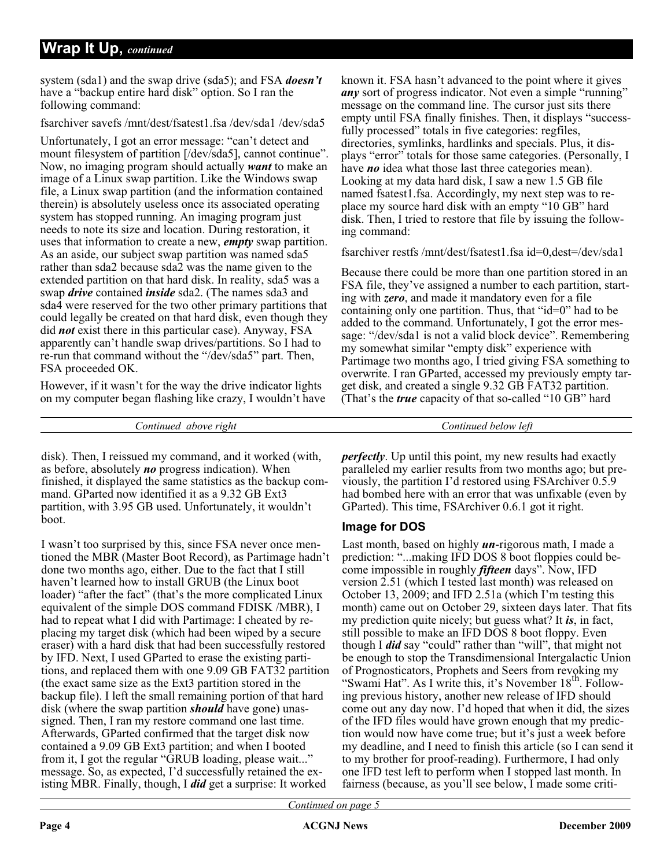system (sda1) and the swap drive (sda5); and FSA *doesn't* have a "backup entire hard disk" option. So I ran the following command:

fsarchiver savefs /mnt/dest/fsatest1.fsa /dev/sda1 /dev/sda5

Unfortunately, I got an error message: "can't detect and mount filesystem of partition [/dev/sda5], cannot continue". Now, no imaging program should actually *want* to make an image of a Linux swap partition. Like the Windows swap file, a Linux swap partition (and the information contained therein) is absolutely useless once its associated operating system has stopped running. An imaging program just needs to note its size and location. During restoration, it uses that information to create a new, *empty* swap partition. As an aside, our subject swap partition was named sda5 rather than sda2 because sda2 was the name given to the extended partition on that hard disk. In reality, sda5 was a swap *drive* contained *inside* sda2. (The names sda3 and sda4 were reserved for the two other primary partitions that could legally be created on that hard disk, even though they did *not* exist there in this particular case). Anyway, FSA apparently can't handle swap drives/partitions. So I had to re-run that command without the "/dev/sda5" part. Then, FSA proceeded OK.

However, if it wasn't for the way the drive indicator lights on my computer began flashing like crazy, I wouldn't have known it. FSA hasn't advanced to the point where it gives *any* sort of progress indicator. Not even a simple "running" message on the command line. The cursor just sits there empty until FSA finally finishes. Then, it displays "successfully processed" totals in five categories: regfiles, directories, symlinks, hardlinks and specials. Plus, it displays "error" totals for those same categories. (Personally, I have *no* idea what those last three categories mean). Looking at my data hard disk, I saw a new 1.5 GB file named fsatest1.fsa. Accordingly, my next step was to replace my source hard disk with an empty "10 GB" hard disk. Then, I tried to restore that file by issuing the following command:

fsarchiver restfs /mnt/dest/fsatest1.fsa id=0,dest=/dev/sda1

Because there could be more than one partition stored in an FSA file, they've assigned a number to each partition, starting with *zero*, and made it mandatory even for a file containing only one partition. Thus, that "id=0" had to be added to the command. Unfortunately, I got the error message: "/dev/sda1 is not a valid block device". Remembering my somewhat similar "empty disk" experience with Partimage two months ago, I tried giving FSA something to overwrite. I ran GParted, accessed my previously empty target disk, and created a single 9.32 GB FAT32 partition. (That's the *true* capacity of that so-called "10 GB" hard

*Continued above right Continued below left*

disk). Then, I reissued my command, and it worked (with, as before, absolutely *no* progress indication). When finished, it displayed the same statistics as the backup command. GParted now identified it as a 9.32 GB Ext3 partition, with 3.95 GB used. Unfortunately, it wouldn't boot.

I wasn't too surprised by this, since FSA never once mentioned the MBR (Master Boot Record), as Partimage hadn't done two months ago, either. Due to the fact that I still haven't learned how to install GRUB (the Linux boot loader) "after the fact" (that's the more complicated Linux equivalent of the simple DOS command FDISK /MBR), I had to repeat what I did with Partimage: I cheated by replacing my target disk (which had been wiped by a secure eraser) with a hard disk that had been successfully restored by IFD. Next, I used GParted to erase the existing partitions, and replaced them with one 9.09 GB FAT32 partition (the exact same size as the Ext3 partition stored in the backup file). I left the small remaining portion of that hard disk (where the swap partition *should* have gone) unassigned. Then, I ran my restore command one last time. Afterwards, GParted confirmed that the target disk now contained a 9.09 GB Ext3 partition; and when I booted from it, I got the regular "GRUB loading, please wait..." message. So, as expected, I'd successfully retained the existing MBR. Finally, though, I *did* get a surprise: It worked

*perfectly*. Up until this point, my new results had exactly paralleled my earlier results from two months ago; but previously, the partition I'd restored using FSArchiver 0.5.9 had bombed here with an error that was unfixable (even by GParted). This time, FSArchiver 0.6.1 got it right.

## **Image for DOS**

Last month, based on highly *un*-rigorous math, I made a prediction: "...making IFD DOS 8 boot floppies could become impossible in roughly *fifteen* days". Now, IFD version 2.51 (which I tested last month) was released on October 13, 2009; and IFD 2.51a (which I'm testing this month) came out on October 29, sixteen days later. That fits my prediction quite nicely; but guess what? It *is*, in fact, still possible to make an IFD DOS 8 boot floppy. Even though I *did* say "could" rather than "will", that might not be enough to stop the Transdimensional Intergalactic Union of Prognosticators, Prophets and Seers from revoking my "Swami Hat". As I write this, it's November 18<sup>th</sup>. Following previous history, another new release of IFD should come out any day now. I'd hoped that when it did, the sizes of the IFD files would have grown enough that my prediction would now have come true; but it's just a week before my deadline, and I need to finish this article (so I can send it to my brother for proof-reading). Furthermore, I had only one IFD test left to perform when I stopped last month. In fairness (because, as you'll see below, I made some criti-

*Continued on page 5*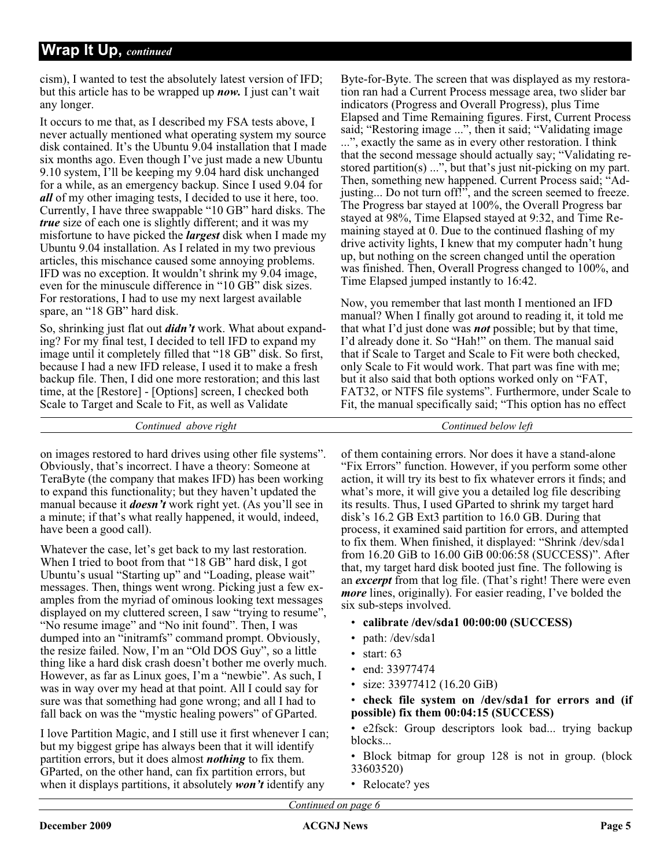cism), I wanted to test the absolutely latest version of IFD; but this article has to be wrapped up *now.* I just can't wait any longer.

It occurs to me that, as I described my FSA tests above, I never actually mentioned what operating system my source disk contained. It's the Ubuntu 9.04 installation that I made six months ago. Even though I've just made a new Ubuntu 9.10 system, I'll be keeping my 9.04 hard disk unchanged for a while, as an emergency backup. Since I used 9.04 for *all* of my other imaging tests, I decided to use it here, too. Currently, I have three swappable "10 GB" hard disks. The *true* size of each one is slightly different; and it was my misfortune to have picked the *largest* disk when I made my Ubuntu 9.04 installation. As I related in my two previous articles, this mischance caused some annoying problems. IFD was no exception. It wouldn't shrink my 9.04 image, even for the minuscule difference in "10 GB" disk sizes. For restorations, I had to use my next largest available spare, an "18 GB" hard disk.

So, shrinking just flat out *didn't* work. What about expanding? For my final test, I decided to tell IFD to expand my image until it completely filled that "18 GB" disk. So first, because I had a new IFD release, I used it to make a fresh backup file. Then, I did one more restoration; and this last time, at the [Restore] - [Options] screen, I checked both Scale to Target and Scale to Fit, as well as Validate

Byte-for-Byte. The screen that was displayed as my restoration ran had a Current Process message area, two slider bar indicators (Progress and Overall Progress), plus Time Elapsed and Time Remaining figures. First, Current Process said; "Restoring image ...", then it said; "Validating image ...", exactly the same as in every other restoration. I think that the second message should actually say; "Validating restored partition(s) ...", but that's just nit-picking on my part. Then, something new happened. Current Process said; "Adjusting... Do not turn off!", and the screen seemed to freeze. The Progress bar stayed at 100%, the Overall Progress bar stayed at 98%, Time Elapsed stayed at 9:32, and Time Remaining stayed at 0. Due to the continued flashing of my drive activity lights, I knew that my computer hadn't hung up, but nothing on the screen changed until the operation was finished. Then, Overall Progress changed to 100%, and Time Elapsed jumped instantly to 16:42.

Now, you remember that last month I mentioned an IFD manual? When I finally got around to reading it, it told me that what I'd just done was *not* possible; but by that time, I'd already done it. So "Hah!" on them. The manual said that if Scale to Target and Scale to Fit were both checked, only Scale to Fit would work. That part was fine with me; but it also said that both options worked only on "FAT, FAT32, or NTFS file systems". Furthermore, under Scale to Fit, the manual specifically said; "This option has no effect

*Continued above right Continued below left*

on images restored to hard drives using other file systems". Obviously, that's incorrect. I have a theory: Someone at TeraByte (the company that makes IFD) has been working to expand this functionality; but they haven't updated the manual because it *doesn't* work right yet. (As you'll see in a minute; if that's what really happened, it would, indeed, have been a good call).

Whatever the case, let's get back to my last restoration. When I tried to boot from that "18 GB" hard disk, I got Ubuntu's usual "Starting up" and "Loading, please wait" messages. Then, things went wrong. Picking just a few examples from the myriad of ominous looking text messages displayed on my cluttered screen, I saw "trying to resume", "No resume image" and "No init found". Then, I was dumped into an "initramfs" command prompt. Obviously, the resize failed. Now, I'm an "Old DOS Guy", so a little thing like a hard disk crash doesn't bother me overly much. However, as far as Linux goes, I'm a "newbie". As such, I was in way over my head at that point. All I could say for sure was that something had gone wrong; and all I had to fall back on was the "mystic healing powers" of GParted.

I love Partition Magic, and I still use it first whenever I can; but my biggest gripe has always been that it will identify partition errors, but it does almost *nothing* to fix them. GParted, on the other hand, can fix partition errors, but when it displays partitions, it absolutely *won't* identify any

of them containing errors. Nor does it have a stand-alone "Fix Errors" function. However, if you perform some other action, it will try its best to fix whatever errors it finds; and what's more, it will give you a detailed log file describing its results. Thus, I used GParted to shrink my target hard disk's 16.2 GB Ext3 partition to 16.0 GB. During that process, it examined said partition for errors, and attempted to fix them. When finished, it displayed: "Shrink /dev/sda1 from 16.20 GiB to 16.00 GiB 00:06:58 (SUCCESS)". After that, my target hard disk booted just fine. The following is an *excerpt* from that log file. (That's right! There were even *more* lines, originally). For easier reading, I've bolded the six sub-steps involved.

- **calibrate /dev/sda1 00:00:00 (SUCCESS)**
- path: /dev/sda1
- start:  $63$
- end: 33977474
- size: 33977412 (16.20 GiB)

• **check file system on /dev/sda1 for errors and (if possible) fix them 00:04:15 (SUCCESS)**

• e2fsck: Group descriptors look bad... trying backup blocks...

- Block bitmap for group 128 is not in group. (block 33603520)
- Relocate? yes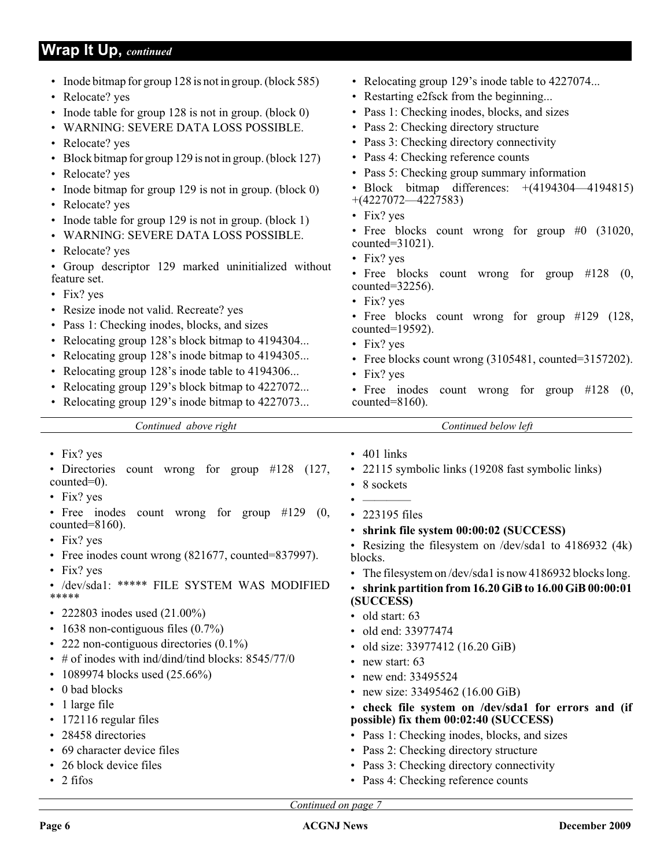## **Wrap It Up,** *continued*

| • Inode bitmap for group 128 is not in group. (block 585)<br>• Relocate? yes<br>• Inode table for group 128 is not in group. (block 0)<br>• WARNING: SEVERE DATA LOSS POSSIBLE.<br>• Relocate? yes<br>• Block bitmap for group 129 is not in group. (block 127)<br>• Relocate? yes<br>• Inode bitmap for group 129 is not in group. (block 0)<br>• Relocate? yes<br>• Inode table for group 129 is not in group. (block 1)<br>• WARNING: SEVERE DATA LOSS POSSIBLE.<br>• Relocate? yes<br>• Group descriptor 129 marked uninitialized without<br>feature set.<br>• Fix? yes<br>• Resize inode not valid. Recreate? yes<br>• Pass 1: Checking inodes, blocks, and sizes<br>• Relocating group 128's block bitmap to 4194304<br>• Relocating group 128's inode bitmap to 4194305<br>• Relocating group 128's inode table to 4194306<br>• Relocating group 129's block bitmap to 4227072<br>• Relocating group 129's inode bitmap to 4227073 | • Relocating group 129's inode table to 4227074<br>• Restarting e2fsck from the beginning<br>• Pass 1: Checking inodes, blocks, and sizes<br>• Pass 2: Checking directory structure<br>• Pass 3: Checking directory connectivity<br>• Pass 4: Checking reference counts<br>• Pass 5: Checking group summary information<br>• Block bitmap differences: $+(4194304-4194815)$<br>$+(4227072 - 4227583)$<br>$\cdot$ Fix? yes<br>• Free blocks count wrong for group $#0$ (31020,<br>counted= $31021$ ).<br>$\cdot$ Fix? yes<br>• Free blocks count wrong for group #128<br>(0,<br>counted= $32256$ ).<br>$\cdot$ Fix? yes<br>• Free blocks count wrong for group #129 (128,<br>counted=19592).<br>• Fix? yes<br>• Free blocks count wrong (3105481, counted=3157202).<br>• Fix? yes<br>• Free inodes<br>count wrong for group $\#128$ (0,<br>counted= $8160$ ). |
|-------------------------------------------------------------------------------------------------------------------------------------------------------------------------------------------------------------------------------------------------------------------------------------------------------------------------------------------------------------------------------------------------------------------------------------------------------------------------------------------------------------------------------------------------------------------------------------------------------------------------------------------------------------------------------------------------------------------------------------------------------------------------------------------------------------------------------------------------------------------------------------------------------------------------------------------|--------------------------------------------------------------------------------------------------------------------------------------------------------------------------------------------------------------------------------------------------------------------------------------------------------------------------------------------------------------------------------------------------------------------------------------------------------------------------------------------------------------------------------------------------------------------------------------------------------------------------------------------------------------------------------------------------------------------------------------------------------------------------------------------------------------------------------------------------------------|
| Continued above right                                                                                                                                                                                                                                                                                                                                                                                                                                                                                                                                                                                                                                                                                                                                                                                                                                                                                                                     | Continued below left                                                                                                                                                                                                                                                                                                                                                                                                                                                                                                                                                                                                                                                                                                                                                                                                                                         |
| $\cdot$ Fix? yes<br>• Directories count wrong for group $#128$ (127,<br>$counted=0$ ).<br>$\cdot$ Fix? yes<br>• Free inodes<br>count wrong for group $\#129$<br>(0,<br>counted= $8160$ ).<br>$\cdot$ Fix? yes<br>Free inodes count wrong (821677, counted=837997).<br>• Fix? yes<br>/dev/sda1: ***** FILE SYSTEM WAS MODIFIED<br>*****<br>• 222803 inodes used $(21.00\%)$<br>• 1638 non-contiguous files $(0.7\%)$<br>• 222 non-contiguous directories $(0.1\%)$<br>$\bullet$ # of inodes with ind/dind/tind blocks: 8545/77/0<br>• 1089974 blocks used (25.66%)<br>• 0 bad blocks<br>$\cdot$ 1 large file<br>• 172116 regular files<br>• 28458 directories<br>• 69 character device files<br>• 26 block device files<br>$\cdot$ 2 fifos                                                                                                                                                                                                 | $\cdot$ 401 links<br>• 22115 symbolic links (19208 fast symbolic links)<br>• 8 sockets<br>• 223195 files<br>• shrink file system 00:00:02 (SUCCESS)<br>• Resizing the filesystem on /dev/sda1 to 4186932 (4k)<br>blocks.<br>• The filesystem on/dev/sda1 is now 4186932 blocks long.<br>• shrink partition from 16.20 GiB to 16.00 GiB 00:00:01<br>(SUCCESS)<br>· old start: 63<br>• old end: 33977474<br>• old size: $33977412(16.20 \text{ GiB})$<br>• new start: $63$<br>• new end: 33495524<br>• new size: $33495462$ (16.00 GiB)<br>• check file system on /dev/sda1 for errors and (if<br>possible) fix them 00:02:40 (SUCCESS)<br>• Pass 1: Checking inodes, blocks, and sizes<br>• Pass 2: Checking directory structure<br>• Pass 3: Checking directory connectivity<br>• Pass 4: Checking reference counts                                          |
| Continued on page 7                                                                                                                                                                                                                                                                                                                                                                                                                                                                                                                                                                                                                                                                                                                                                                                                                                                                                                                       |                                                                                                                                                                                                                                                                                                                                                                                                                                                                                                                                                                                                                                                                                                                                                                                                                                                              |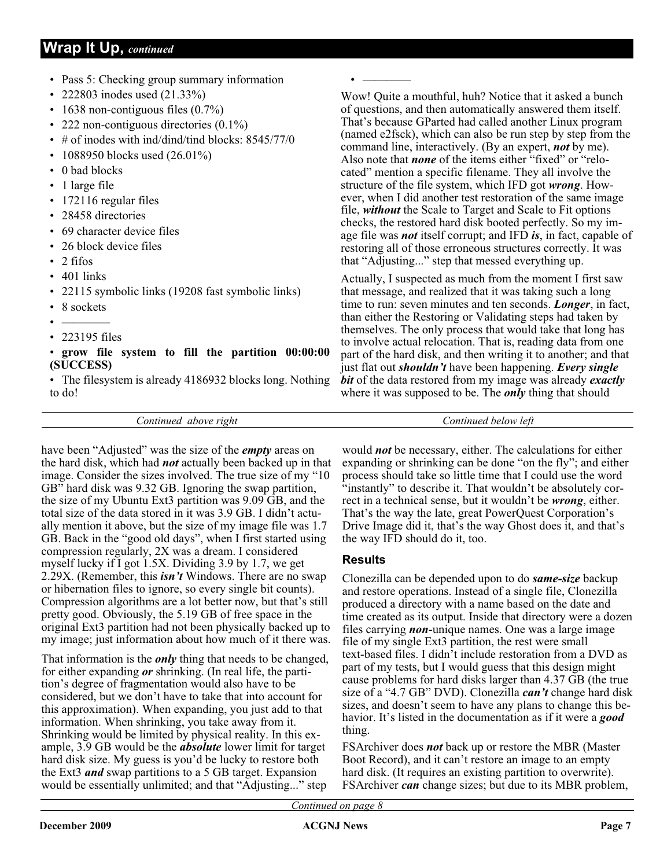## **Wrap It Up,** *continued*

- Pass 5: Checking group summary information
- 222803 inodes used (21.33%)
- 1638 non-contiguous files  $(0.7\%)$
- 222 non-contiguous directories  $(0.1\%)$
- # of inodes with ind/dind/tind blocks: 8545/77/0
- 1088950 blocks used (26.01%)
- 0 bad blocks
- 1 large file
- 172116 regular files
- 28458 directories
- 69 character device files
- 26 block device files
- 2 fifos
- 401 links
- 22115 symbolic links (19208 fast symbolic links)
- 8 sockets
- $\bullet$  ———— • 223195 files

### • **grow file system to fill the partition 00:00:00 (SUCCESS)**

• The filesystem is already 4186932 blocks long. Nothing to do!

Wow! Quite a mouthful, huh? Notice that it asked a bunch of questions, and then automatically answered them itself. That's because GParted had called another Linux program (named e2fsck), which can also be run step by step from the command line, interactively. (By an expert, *not* by me). Also note that *none* of the items either "fixed" or "relocated" mention a specific filename. They all involve the structure of the file system, which IFD got *wrong*. However, when I did another test restoration of the same image file, *without* the Scale to Target and Scale to Fit options checks, the restored hard disk booted perfectly. So my image file was *not* itself corrupt; and IFD *is*, in fact, capable of restoring all of those erroneous structures correctly. It was that "Adjusting..." step that messed everything up.

Actually, I suspected as much from the moment I first saw that message, and realized that it was taking such a long time to run: seven minutes and ten seconds. *Longer*, in fact, than either the Restoring or Validating steps had taken by themselves. The only process that would take that long has to involve actual relocation. That is, reading data from one part of the hard disk, and then writing it to another; and that just flat out *shouldn't* have been happening. *Every single bit* of the data restored from my image was already *exactly* where it was supposed to be. The *only* thing that should

*Continued above right Continued below left*

have been "Adjusted" was the size of the *empty* areas on the hard disk, which had *not* actually been backed up in that image. Consider the sizes involved. The true size of my "10 GB" hard disk was 9.32 GB. Ignoring the swap partition, the size of my Ubuntu Ext3 partition was 9.09 GB, and the total size of the data stored in it was 3.9 GB. I didn't actually mention it above, but the size of my image file was 1.7 GB. Back in the "good old days", when I first started using compression regularly, 2X was a dream. I considered myself lucky if I got 1.5X. Dividing 3.9 by 1.7, we get 2.29X. (Remember, this *isn't* Windows. There are no swap or hibernation files to ignore, so every single bit counts). Compression algorithms are a lot better now, but that's still pretty good. Obviously, the 5.19 GB of free space in the original Ext3 partition had not been physically backed up to my image; just information about how much of it there was.

That information is the *only* thing that needs to be changed, for either expanding *or* shrinking. (In real life, the partition's degree of fragmentation would also have to be considered, but we don't have to take that into account for this approximation). When expanding, you just add to that information. When shrinking, you take away from it. Shrinking would be limited by physical reality. In this example, 3.9 GB would be the *absolute* lower limit for target hard disk size. My guess is you'd be lucky to restore both the Ext3 *and* swap partitions to a 5 GB target. Expansion would be essentially unlimited; and that "Adjusting..." step

would *not* be necessary, either. The calculations for either expanding or shrinking can be done "on the fly"; and either process should take so little time that I could use the word "instantly" to describe it. That wouldn't be absolutely correct in a technical sense, but it wouldn't be *wrong*, either. That's the way the late, great PowerQuest Corporation's Drive Image did it, that's the way Ghost does it, and that's the way IFD should do it, too.

## **Results**

 $\bullet$  ————

Clonezilla can be depended upon to do *same-size* backup and restore operations. Instead of a single file, Clonezilla produced a directory with a name based on the date and time created as its output. Inside that directory were a dozen files carrying *non*-unique names. One was a large image file of my single Ext3 partition, the rest were small text-based files. I didn't include restoration from a DVD as part of my tests, but I would guess that this design might cause problems for hard disks larger than 4.37 GB (the true size of a "4.7 GB" DVD). Clonezilla *can't* change hard disk sizes, and doesn't seem to have any plans to change this behavior. It's listed in the documentation as if it were a *good* thing.

FSArchiver does *not* back up or restore the MBR (Master Boot Record), and it can't restore an image to an empty hard disk. (It requires an existing partition to overwrite). FSArchiver *can* change sizes; but due to its MBR problem,

*Continued on page 8*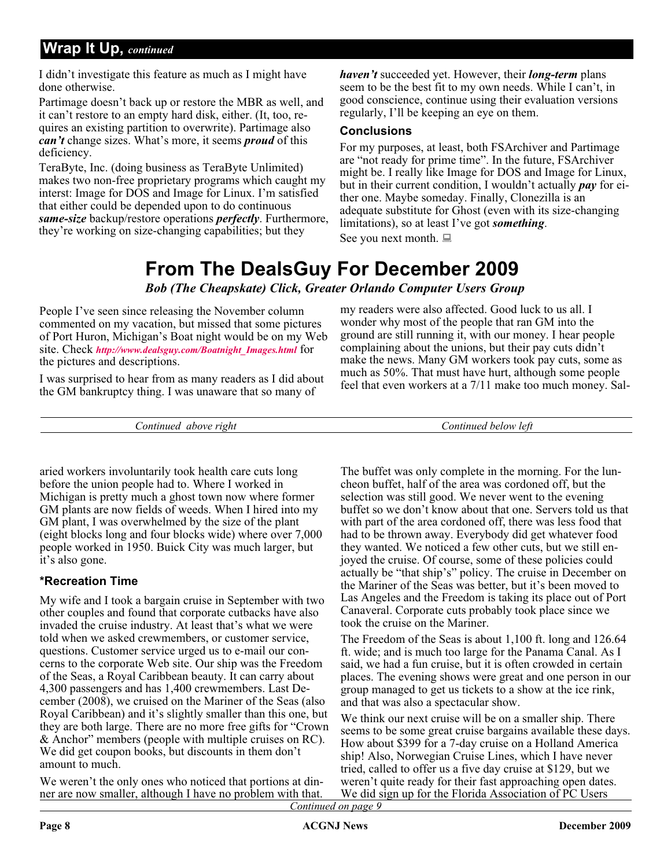## **Wrap It Up,** *continued*

I didn't investigate this feature as much as I might have done otherwise.

Partimage doesn't back up or restore the MBR as well, and it can't restore to an empty hard disk, either. (It, too, requires an existing partition to overwrite). Partimage also *can't* change sizes. What's more, it seems *proud* of this deficiency.

TeraByte, Inc. (doing business as TeraByte Unlimited) makes two non-free proprietary programs which caught my interst: Image for DOS and Image for Linux. I'm satisfied that either could be depended upon to do continuous *same-size* backup/restore operations *perfectly*. Furthermore, they're working on size-changing capabilities; but they

*haven't* succeeded yet. However, their *long-term* plans seem to be the best fit to my own needs. While I can't, in good conscience, continue using their evaluation versions regularly, I'll be keeping an eye on them.

### **Conclusions**

For my purposes, at least, both FSArchiver and Partimage are "not ready for prime time". In the future, FSArchiver might be. I really like Image for DOS and Image for Linux, but in their current condition, I wouldn't actually *pay* for either one. Maybe someday. Finally, Clonezilla is an adequate substitute for Ghost (even with its size-changing limitations), so at least I've got *something*. See you next month.

## **From The DealsGuy For December 2009**

*Bob (The Cheapskate) Click, Greater Orlando Computer Users Group*

People I've seen since releasing the November column commented on my vacation, but missed that some pictures of Port Huron, Michigan's Boat night would be on my Web site. Check *[http://www.dealsguy.com/Boatnight\\_Images.html](http://www.dealsguy.com/Boatnight_Images.html)* for the pictures and descriptions.

I was surprised to hear from as many readers as I did about the GM bankruptcy thing. I was unaware that so many of

make the news. Many GM workers took pay cuts, some as much as 50%. That must have hurt, although some people feel that even workers at a 7/11 make too much money. Sal-

my readers were also affected. Good luck to us all. I wonder why most of the people that ran GM into the ground are still running it, with our money. I hear people complaining about the unions, but their pay cuts didn't

*Continued above right Continued below left*

aried workers involuntarily took health care cuts long before the union people had to. Where I worked in Michigan is pretty much a ghost town now where former GM plants are now fields of weeds. When I hired into my GM plant, I was overwhelmed by the size of the plant (eight blocks long and four blocks wide) where over 7,000 people worked in 1950. Buick City was much larger, but it's also gone.

## **\*Recreation Time**

My wife and I took a bargain cruise in September with two other couples and found that corporate cutbacks have also invaded the cruise industry. At least that's what we were told when we asked crewmembers, or customer service, questions. Customer service urged us to e-mail our concerns to the corporate Web site. Our ship was the Freedom of the Seas, a Royal Caribbean beauty. It can carry about 4,300 passengers and has 1,400 crewmembers. Last December (2008), we cruised on the Mariner of the Seas (also Royal Caribbean) and it's slightly smaller than this one, but they are both large. There are no more free gifts for "Crown & Anchor" members (people with multiple cruises on RC). We did get coupon books, but discounts in them don't amount to much.

We weren't the only ones who noticed that portions at dinner are now smaller, although I have no problem with that.

The buffet was only complete in the morning. For the luncheon buffet, half of the area was cordoned off, but the selection was still good. We never went to the evening buffet so we don't know about that one. Servers told us that with part of the area cordoned off, there was less food that had to be thrown away. Everybody did get whatever food they wanted. We noticed a few other cuts, but we still enjoyed the cruise. Of course, some of these policies could actually be "that ship's" policy. The cruise in December on the Mariner of the Seas was better, but it's been moved to Las Angeles and the Freedom is taking its place out of Port Canaveral. Corporate cuts probably took place since we took the cruise on the Mariner.

The Freedom of the Seas is about 1,100 ft. long and 126.64 ft. wide; and is much too large for the Panama Canal. As I said, we had a fun cruise, but it is often crowded in certain places. The evening shows were great and one person in our group managed to get us tickets to a show at the ice rink, and that was also a spectacular show.

*Continued on page 9* We think our next cruise will be on a smaller ship. There seems to be some great cruise bargains available these days. How about \$399 for a 7-day cruise on a Holland America ship! Also, Norwegian Cruise Lines, which I have never tried, called to offer us a five day cruise at \$129, but we weren't quite ready for their fast approaching open dates. We did sign up for the Florida Association of PC Users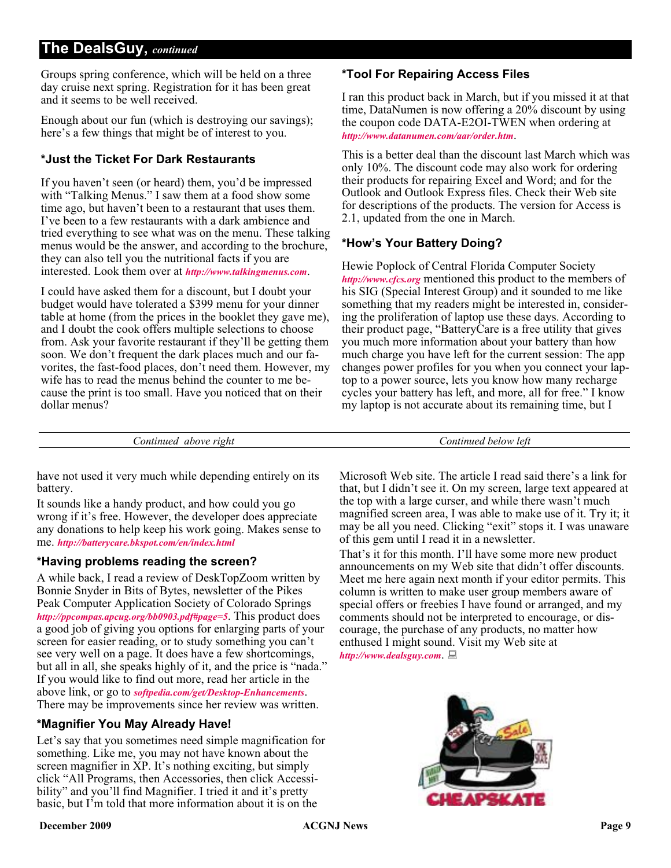## **The DealsGuy,** *continued*

Groups spring conference, which will be held on a three day cruise next spring. Registration for it has been great and it seems to be well received.

Enough about our fun (which is destroying our savings); here's a few things that might be of interest to you.

## **\*Just the Ticket For Dark Restaurants**

If you haven't seen (or heard) them, you'd be impressed with "Talking Menus." I saw them at a food show some time ago, but haven't been to a restaurant that uses them. I've been to a few restaurants with a dark ambience and tried everything to see what was on the menu. These talking menus would be the answer, and according to the brochure, they can also tell you the nutritional facts if you are interested. Look them over at *<http://www.talkingmenus.com>*.

I could have asked them for a discount, but I doubt your budget would have tolerated a \$399 menu for your dinner table at home (from the prices in the booklet they gave me), and I doubt the cook offers multiple selections to choose from. Ask your favorite restaurant if they'll be getting them soon. We don't frequent the dark places much and our favorites, the fast-food places, don't need them. However, my wife has to read the menus behind the counter to me because the print is too small. Have you noticed that on their dollar menus?

### **\*Tool For Repairing Access Files**

I ran this product back in March, but if you missed it at that time, DataNumen is now offering a 20% discount by using the coupon code DATA-E2OI-TWEN when ordering at *<http://www.datanumen.com/aar/order.htm>*.

This is a better deal than the discount last March which was only 10%. The discount code may also work for ordering their products for repairing Excel and Word; and for the Outlook and Outlook Express files. Check their Web site for descriptions of the products. The version for Access is 2.1, updated from the one in March.

### **\*How's Your Battery Doing?**

Hewie Poplock of Central Florida Computer Society *<http://www.cfcs.org>* mentioned this product to the members of his SIG (Special Interest Group) and it sounded to me like something that my readers might be interested in, considering the proliferation of laptop use these days. According to their product page, "BatteryCare is a free utility that gives you much more information about your battery than how much charge you have left for the current session: The app changes power profiles for you when you connect your laptop to a power source, lets you know how many recharge cycles your battery has left, and more, all for free." I know my laptop is not accurate about its remaining time, but I

*Continued above right Continued below left*

have not used it very much while depending entirely on its battery.

It sounds like a handy product, and how could you go wrong if it's free. However, the developer does appreciate any donations to help keep his work going. Makes sense to me. *<http://batterycare.bkspot.com/en/index.html>*

### **\*Having problems reading the screen?**

A while back, I read a review of DeskTopZoom written by Bonnie Snyder in Bits of Bytes, newsletter of the Pikes Peak Computer Application Society of Colorado Springs *<http://ppcompas.apcug.org/bb0903.pdf#page=5>*. This product does a good job of giving you options for enlarging parts of your screen for easier reading, or to study something you can't see very well on a page. It does have a few shortcomings, but all in all, she speaks highly of it, and the price is "nada." If you would like to find out more, read her article in the above link, or go to *[softpedia.com/get/Desktop-Enhancements](http://www.softpedia.com/get/Desktop-Enhancements/Other-Desktop-Enhancements/DesktopZoom.shtml)*. There may be improvements since her review was written.

### **\*Magnifier You May Already Have!**

Let's say that you sometimes need simple magnification for something. Like me, you may not have known about the screen magnifier in XP. It's nothing exciting, but simply click "All Programs, then Accessories, then click Accessibility" and you'll find Magnifier. I tried it and it's pretty basic, but I'm told that more information about it is on the

Microsoft Web site. The article I read said there's a link for that, but I didn't see it. On my screen, large text appeared at the top with a large curser, and while there wasn't much magnified screen area, I was able to make use of it. Try it; it may be all you need. Clicking "exit" stops it. I was unaware of this gem until I read it in a newsletter.

That's it for this month. I'll have some more new product announcements on my Web site that didn't offer discounts. Meet me here again next month if your editor permits. This column is written to make user group members aware of special offers or freebies I have found or arranged, and my comments should not be interpreted to encourage, or discourage, the purchase of any products, no matter how enthused I might sound. Visit my Web site at *<http://www.dealsguy.com>*.

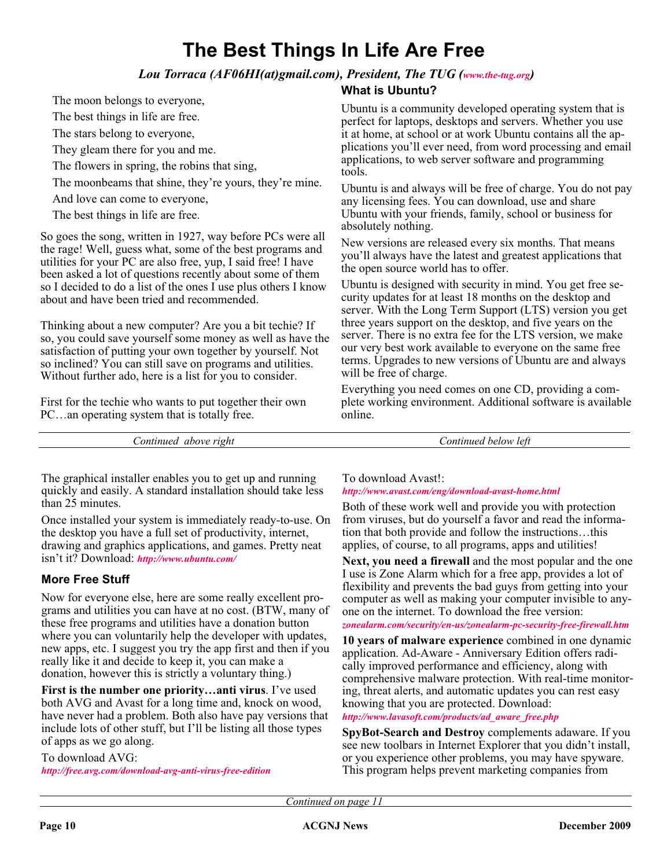## **The Best Things In Life Are Free**

## *Lou Torraca (AF06HI(at)gmail.com), President, The TUG ([www.the-tug.org\)](http://www.the-tug.org)*

**What is Ubuntu?**

The moon belongs to everyone,

The best things in life are free.

The stars belong to everyone,

They gleam there for you and me.

The flowers in spring, the robins that sing,

The moonbeams that shine, they're yours, they're mine.

And love can come to everyone,

The best things in life are free.

So goes the song, written in 1927, way before PCs were all the rage! Well, guess what, some of the best programs and utilities for your PC are also free, yup, I said free! I have been asked a lot of questions recently about some of them so I decided to do a list of the ones I use plus others I know about and have been tried and recommended.

Thinking about a new computer? Are you a bit techie? If so, you could save yourself some money as well as have the satisfaction of putting your own together by yourself. Not so inclined? You can still save on programs and utilities. Without further ado, here is a list for you to consider.

First for the techie who wants to put together their own PC…an operating system that is totally free.

Ubuntu is a community developed operating system that is perfect for laptops, desktops and servers. Whether you use it at home, at school or at work Ubuntu contains all the applications you'll ever need, from word processing and email applications, to web server software and programming tools.

Ubuntu is and always will be free of charge. You do not pay any licensing fees. You can download, use and share Ubuntu with your friends, family, school or business for absolutely nothing.

New versions are released every six months. That means you'll always have the latest and greatest applications that the open source world has to offer.

Ubuntu is designed with security in mind. You get free security updates for at least 18 months on the desktop and server. With the Long Term Support (LTS) version you get three years support on the desktop, and five years on the server. There is no extra fee for the LTS version, we make our very best work available to everyone on the same free terms. Upgrades to new versions of Ubuntu are and always will be free of charge.

Everything you need comes on one CD, providing a complete working environment. Additional software is available online.

*Continued above right Continued below left*

The graphical installer enables you to get up and running quickly and easily. A standard installation should take less than 25 minutes.

Once installed your system is immediately ready-to-use. On the desktop you have a full set of productivity, internet, drawing and graphics applications, and games. Pretty neat isn't it? Download: *<http://www.ubuntu.com/>*

## **More Free Stuff**

Now for everyone else, here are some really excellent programs and utilities you can have at no cost. (BTW, many of these free programs and utilities have a donation button where you can voluntarily help the developer with updates, new apps, etc. I suggest you try the app first and then if you really like it and decide to keep it, you can make a donation, however this is strictly a voluntary thing.)

**First is the number one priority…anti virus**. I've used both AVG and Avast for a long time and, knock on wood, have never had a problem. Both also have pay versions that include lots of other stuff, but I'll be listing all those types of apps as we go along.

To download AVG: *<http://free.avg.com/download-avg-anti-virus-free-edition>* To download Avast!:

*<http://www.avast.com/eng/download-avast-home.html>*

Both of these work well and provide you with protection from viruses, but do yourself a favor and read the information that both provide and follow the instructions…this applies, of course, to all programs, apps and utilities!

**Next, you need a firewall** and the most popular and the one I use is Zone Alarm which for a free app, provides a lot of flexibility and prevents the bad guys from getting into your computer as well as making your computer invisible to anyone on the internet. To download the free version:

*[zonealarm.com/security/en-us/zonealarm-pc-security-free-firewall.htm](http://www.zonealarm.com/security/en-us/zonealarm-pc-security-free-firewall.htm)*

**10 years of malware experience** combined in one dynamic application. Ad-Aware - Anniversary Edition offers radically improved performance and efficiency, along with comprehensive malware protection. With real-time monitoring, threat alerts, and automatic updates you can rest easy knowing that you are protected. Download: *[http://www.lavasoft.com/products/ad\\_aware\\_free.php](http://www.lavasoft.com/products/ad_aware_free.php)*

**SpyBot-Search and Destroy** complements adaware. If you see new toolbars in Internet Explorer that you didn't install, or you experience other problems, you may have spyware. This program helps prevent marketing companies from

*Continued on page 11*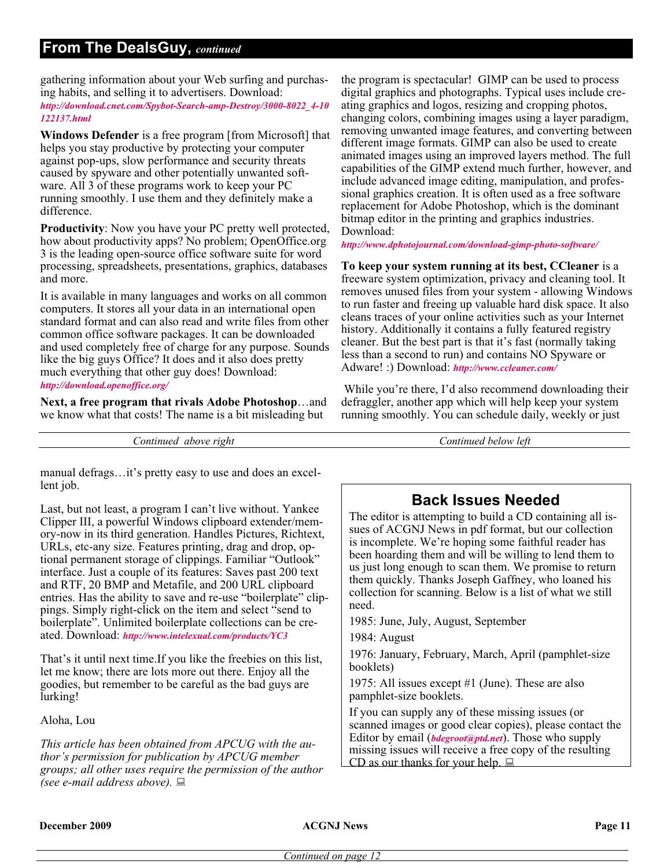## **From The DealsGuy,** *continued*

gathering information about your Web surfing and purchasing habits, and selling it to advertisers. Download:

*[http://download.cnet.com/Spybot-Search-amp-Destroy/3000-8022\\_4-10](http://download.cnet.com/Spybot-Search-amp-Destroy/3000-8022_4-10122137.html) 122137.html*

**Windows Defender** is a free program [from Microsoft] that helps you stay productive by protecting your computer against pop-ups, slow performance and security threats caused by spyware and other potentially unwanted software. All 3 of these programs work to keep your PC running smoothly. I use them and they definitely make a difference.

**Productivity**: Now you have your PC pretty well protected, how about productivity apps? No problem; OpenOffice.org 3 is the leading open-source office software suite for word processing, spreadsheets, presentations, graphics, databases and more.

It is available in many languages and works on all common computers. It stores all your data in an international open standard format and can also read and write files from other common office software packages. It can be downloaded and used completely free of charge for any purpose. Sounds like the big guys Office? It does and it also does pretty much everything that other guy does! Download: *<http://download.openoffice.org/>*

**Next, a free program that rivals Adobe Photoshop**…and we know what that costs! The name is a bit misleading but

*Continued above right Continued below left*

manual defrags…it's pretty easy to use and does an excellent job.

Last, but not least, a program I can't live without. Yankee Clipper III, a powerful Windows clipboard extender/memory-now in its third generation. Handles Pictures, Richtext, URLs, etc-any size. Features printing, drag and drop, optional permanent storage of clippings. Familiar "Outlook" interface. Just a couple of its features: Saves past 200 text and RTF, 20 BMP and Metafile, and 200 URL clipboard entries. Has the ability to save and re-use "boilerplate" clippings. Simply right-click on the item and select "send to boilerplate". Unlimited boilerplate collections can be created. Download: *<http://www.intelexual.com/products/YC3>*

That's it until next time.If you like the freebies on this list, let me know; there are lots more out there. Enjoy all the goodies, but remember to be careful as the bad guys are lurking!

Aloha, Lou

*This article has been obtained from APCUG with the author's permission for publication by APCUG member groups; all other uses require the permission of the author (see e-mail address above).*

the program is spectacular! GIMP can be used to process digital graphics and photographs. Typical uses include creating graphics and logos, resizing and cropping photos, changing colors, combining images using a layer paradigm, removing unwanted image features, and converting between different image formats. GIMP can also be used to create animated images using an improved layers method. The full capabilities of the GIMP extend much further, however, and include advanced image editing, manipulation, and professional graphics creation. It is often used as a free software replacement for Adobe Photoshop, which is the dominant bitmap editor in the printing and graphics industries. Download:

*<http://www.dphotojournal.com/download-gimp-photo-software/>*

**To keep your system running at its best, CCleaner** is a freeware system optimization, privacy and cleaning tool. It removes unused files from your system - allowing Windows to run faster and freeing up valuable hard disk space. It also cleans traces of your online activities such as your Internet history. Additionally it contains a fully featured registry cleaner. But the best part is that it's fast (normally taking less than a second to run) and contains NO Spyware or Adware! :) Download: *[http://www.ccleaner.com/](http://www.ccleaner.com/ )*

While you're there, I'd also recommend downloading their defraggler, another app which will help keep your system running smoothly. You can schedule daily, weekly or just

## **Back Issues Needed**

The editor is attempting to build a CD containing all issues of ACGNJ News in pdf format, but our collection is incomplete. We're hoping some faithful reader has been hoarding them and will be willing to lend them to us just long enough to scan them. We promise to return them quickly. Thanks Joseph Gaffney, who loaned his collection for scanning. Below is a list of what we still need.

1985: June, July, August, September

1984: August

1976: January, February, March, April (pamphlet-size booklets)

1975: All issues except #1 (June). These are also pamphlet-size booklets.

If you can supply any of these missing issues (or scanned images or good clear copies), please contact the Editor by email (*[bdegroot@ptd.net](mailto:bdegroot@ptd.net)*). Those who supply missing issues will receive a free copy of the resulting CD as our thanks for your help.  $\Box$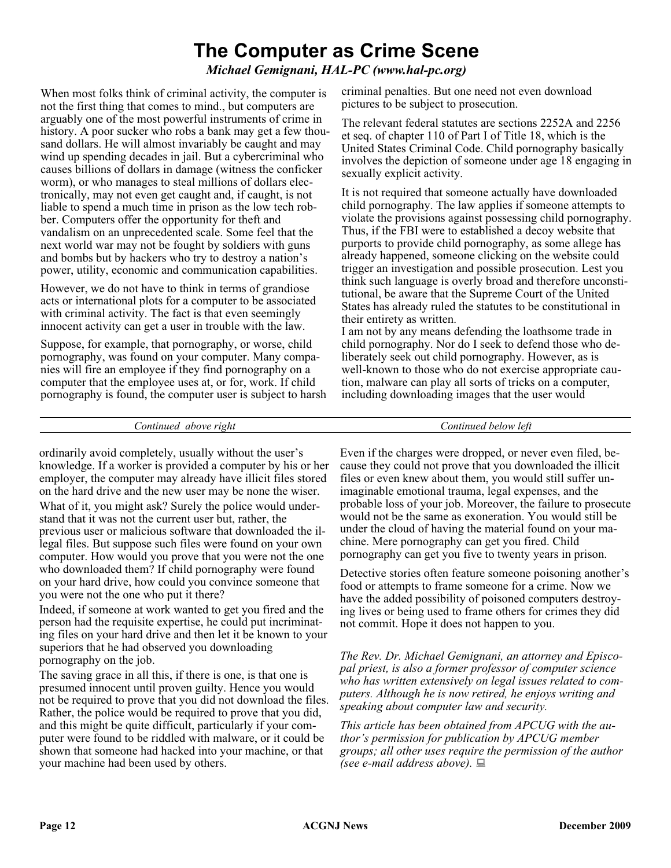## **The Computer as Crime Scene**

## *Michael Gemignani, HAL-PC (www.hal-pc.org)*

When most folks think of criminal activity, the computer is not the first thing that comes to mind., but computers are arguably one of the most powerful instruments of crime in history. A poor sucker who robs a bank may get a few thousand dollars. He will almost invariably be caught and may wind up spending decades in jail. But a cybercriminal who causes billions of dollars in damage (witness the conficker worm), or who manages to steal millions of dollars electronically, may not even get caught and, if caught, is not liable to spend a much time in prison as the low tech robber. Computers offer the opportunity for theft and vandalism on an unprecedented scale. Some feel that the next world war may not be fought by soldiers with guns and bombs but by hackers who try to destroy a nation's power, utility, economic and communication capabilities.

However, we do not have to think in terms of grandiose acts or international plots for a computer to be associated with criminal activity. The fact is that even seemingly innocent activity can get a user in trouble with the law.

Suppose, for example, that pornography, or worse, child pornography, was found on your computer. Many companies will fire an employee if they find pornography on a computer that the employee uses at, or for, work. If child pornography is found, the computer user is subject to harsh criminal penalties. But one need not even download pictures to be subject to prosecution.

The relevant federal statutes are sections 2252A and 2256 et seq. of chapter 110 of Part I of Title 18, which is the United States Criminal Code. Child pornography basically involves the depiction of someone under age 18 engaging in sexually explicit activity.

It is not required that someone actually have downloaded child pornography. The law applies if someone attempts to violate the provisions against possessing child pornography. Thus, if the FBI were to established a decoy website that purports to provide child pornography, as some allege has already happened, someone clicking on the website could trigger an investigation and possible prosecution. Lest you think such language is overly broad and therefore unconstitutional, be aware that the Supreme Court of the United States has already ruled the statutes to be constitutional in their entirety as written.

I am not by any means defending the loathsome trade in child pornography. Nor do I seek to defend those who deliberately seek out child pornography. However, as is well-known to those who do not exercise appropriate caution, malware can play all sorts of tricks on a computer, including downloading images that the user would

*Continued above right Continued below left*

ordinarily avoid completely, usually without the user's knowledge. If a worker is provided a computer by his or her employer, the computer may already have illicit files stored on the hard drive and the new user may be none the wiser. What of it, you might ask? Surely the police would understand that it was not the current user but, rather, the previous user or malicious software that downloaded the illegal files. But suppose such files were found on your own computer. How would you prove that you were not the one who downloaded them? If child pornography were found on your hard drive, how could you convince someone that you were not the one who put it there?

Indeed, if someone at work wanted to get you fired and the person had the requisite expertise, he could put incriminating files on your hard drive and then let it be known to your superiors that he had observed you downloading pornography on the job.

The saving grace in all this, if there is one, is that one is presumed innocent until proven guilty. Hence you would not be required to prove that you did not download the files. Rather, the police would be required to prove that you did, and this might be quite difficult, particularly if your computer were found to be riddled with malware, or it could be shown that someone had hacked into your machine, or that your machine had been used by others.

Even if the charges were dropped, or never even filed, because they could not prove that you downloaded the illicit files or even knew about them, you would still suffer unimaginable emotional trauma, legal expenses, and the probable loss of your job. Moreover, the failure to prosecute would not be the same as exoneration. You would still be under the cloud of having the material found on your machine. Mere pornography can get you fired. Child pornography can get you five to twenty years in prison.

Detective stories often feature someone poisoning another's food or attempts to frame someone for a crime. Now we have the added possibility of poisoned computers destroying lives or being used to frame others for crimes they did not commit. Hope it does not happen to you.

*The Rev. Dr. Michael Gemignani, an attorney and Episcopal priest, is also a former professor of computer science who has written extensively on legal issues related to computers. Although he is now retired, he enjoys writing and speaking about computer law and security.*

*This article has been obtained from APCUG with the author's permission for publication by APCUG member groups; all other uses require the permission of the author (see e-mail address above).*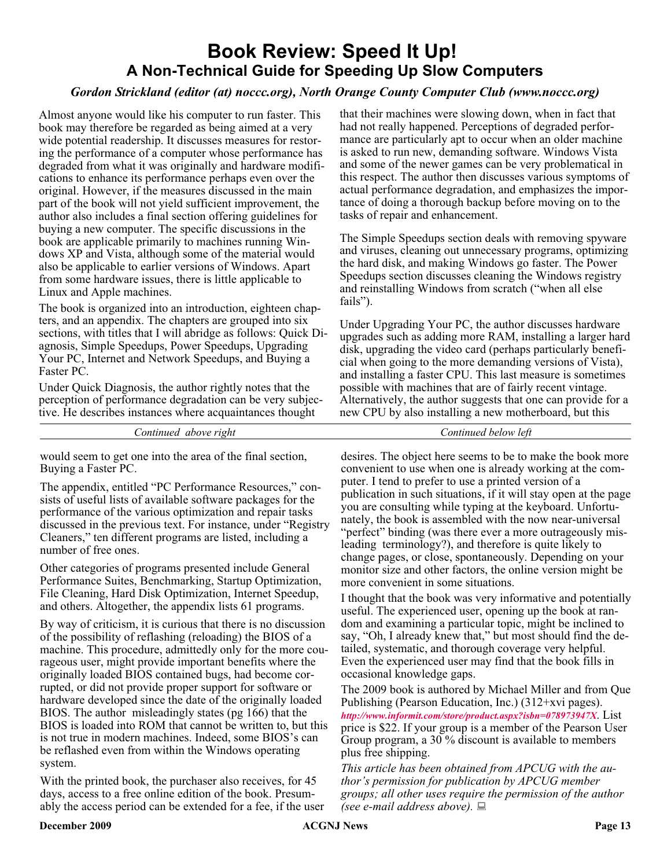## **Book Review: Speed It Up! A Non-Technical Guide for Speeding Up Slow Computers**

## *Gordon Strickland (editor (at) noccc.org), North Orange County Computer Club (www.noccc.org)*

Almost anyone would like his computer to run faster. This book may therefore be regarded as being aimed at a very wide potential readership. It discusses measures for restoring the performance of a computer whose performance has degraded from what it was originally and hardware modifications to enhance its performance perhaps even over the original. However, if the measures discussed in the main part of the book will not yield sufficient improvement, the author also includes a final section offering guidelines for buying a new computer. The specific discussions in the book are applicable primarily to machines running Windows XP and Vista, although some of the material would also be applicable to earlier versions of Windows. Apart from some hardware issues, there is little applicable to Linux and Apple machines.

The book is organized into an introduction, eighteen chapters, and an appendix. The chapters are grouped into six sections, with titles that I will abridge as follows: Quick Diagnosis, Simple Speedups, Power Speedups, Upgrading Your PC, Internet and Network Speedups, and Buying a Faster PC.

Under Quick Diagnosis, the author rightly notes that the perception of performance degradation can be very subjective. He describes instances where acquaintances thought

*Continued above right Continued below left*

would seem to get one into the area of the final section, Buying a Faster PC.

The appendix, entitled "PC Performance Resources," consists of useful lists of available software packages for the performance of the various optimization and repair tasks discussed in the previous text. For instance, under "Registry Cleaners," ten different programs are listed, including a number of free ones.

Other categories of programs presented include General Performance Suites, Benchmarking, Startup Optimization, File Cleaning, Hard Disk Optimization, Internet Speedup, and others. Altogether, the appendix lists 61 programs.

By way of criticism, it is curious that there is no discussion of the possibility of reflashing (reloading) the BIOS of a machine. This procedure, admittedly only for the more courageous user, might provide important benefits where the originally loaded BIOS contained bugs, had become corrupted, or did not provide proper support for software or hardware developed since the date of the originally loaded BIOS. The author misleadingly states (pg 166) that the BIOS is loaded into ROM that cannot be written to, but this is not true in modern machines. Indeed, some BIOS's can be reflashed even from within the Windows operating system.

With the printed book, the purchaser also receives, for 45 days, access to a free online edition of the book. Presumably the access period can be extended for a fee, if the user that their machines were slowing down, when in fact that had not really happened. Perceptions of degraded performance are particularly apt to occur when an older machine is asked to run new, demanding software. Windows Vista and some of the newer games can be very problematical in this respect. The author then discusses various symptoms of actual performance degradation, and emphasizes the importance of doing a thorough backup before moving on to the tasks of repair and enhancement.

The Simple Speedups section deals with removing spyware and viruses, cleaning out unnecessary programs, optimizing the hard disk, and making Windows go faster. The Power Speedups section discusses cleaning the Windows registry and reinstalling Windows from scratch ("when all else fails").

Under Upgrading Your PC, the author discusses hardware upgrades such as adding more RAM, installing a larger hard disk, upgrading the video card (perhaps particularly beneficial when going to the more demanding versions of Vista), and installing a faster CPU. This last measure is sometimes possible with machines that are of fairly recent vintage. Alternatively, the author suggests that one can provide for a new CPU by also installing a new motherboard, but this

desires. The object here seems to be to make the book more convenient to use when one is already working at the computer. I tend to prefer to use a printed version of a publication in such situations, if it will stay open at the page you are consulting while typing at the keyboard. Unfortunately, the book is assembled with the now near-universal "perfect" binding (was there ever a more outrageously misleading terminology?), and therefore is quite likely to change pages, or close, spontaneously. Depending on your monitor size and other factors, the online version might be more convenient in some situations.

I thought that the book was very informative and potentially useful. The experienced user, opening up the book at random and examining a particular topic, might be inclined to say, "Oh, I already knew that," but most should find the detailed, systematic, and thorough coverage very helpful. Even the experienced user may find that the book fills in occasional knowledge gaps.

The 2009 book is authored by Michael Miller and from Que Publishing (Pearson Education, Inc.) (312+xvi pages). *<http://www.informit.com/store/product.aspx?isbn=078973947X>*. List price is \$22. If your group is a member of the Pearson User Group program, a 30 % discount is available to members plus free shipping.

*This article has been obtained from APCUG with the author's permission for publication by APCUG member groups; all other uses require the permission of the author (see e-mail address above).*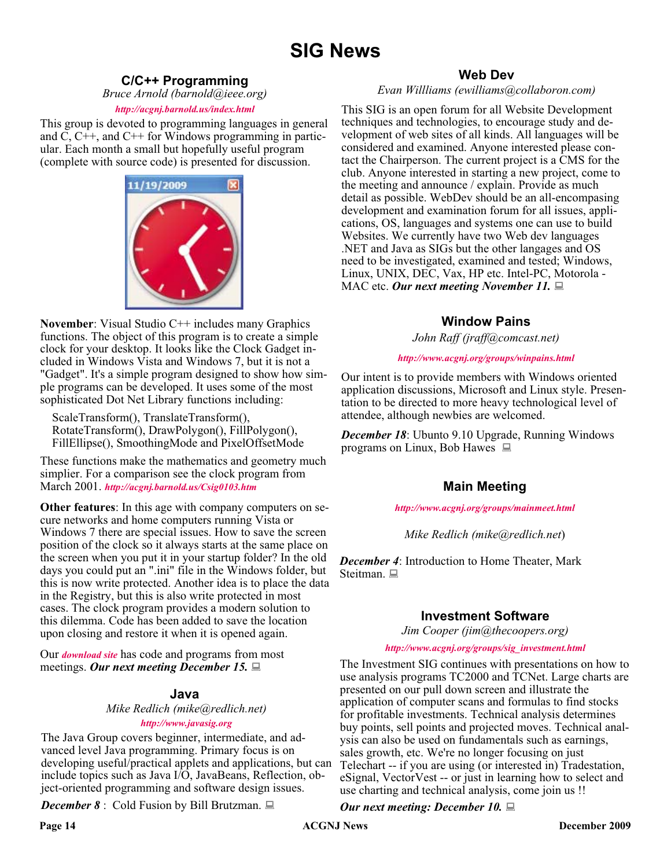## **SIG News**

## **C/C++ Programming**

*Bruce Arnold (barnold@ieee.org)*

#### *<http://acgnj.barnold.us/index.html>*

This group is devoted to programming languages in general and C, C++, and C++ for Windows programming in particular. Each month a small but hopefully useful program (complete with source code) is presented for discussion.



**November**: Visual Studio C++ includes many Graphics functions. The object of this program is to create a simple clock for your desktop. It looks like the Clock Gadget included in Windows Vista and Windows 7, but it is not a "Gadget". It's a simple program designed to show how simple programs can be developed. It uses some of the most sophisticated Dot Net Library functions including:

ScaleTransform(), TranslateTransform(), RotateTransform(), DrawPolygon(), FillPolygon(), FillEllipse(), SmoothingMode and PixelOffsetMode

These functions make the mathematics and geometry much simplier. For a comparison see the clock program from March 2001. *<http://acgnj.barnold.us/Csig0103.htm>*

**Other features**: In this age with company computers on secure networks and home computers running Vista or Windows 7 there are special issues. How to save the screen position of the clock so it always starts at the same place on the screen when you put it in your startup folder? In the old days you could put an ".ini" file in the Windows folder, but this is now write protected. Another idea is to place the data in the Registry, but this is also write protected in most cases. The clock program provides a modern solution to this dilemma. Code has been added to save the location upon closing and restore it when it is opened again.

Our *[download site](http://acgnj.barnold.us/Source/Index.htm)* has code and programs from most meetings. *Our next meeting December 15.*

### **Java**

### *Mike Redlich (mike@redlich.net) <http://www.javasig.org>*

The Java Group covers beginner, intermediate, and advanced level Java programming. Primary focus is on developing useful/practical applets and applications, but can include topics such as Java I/O, JavaBeans, Reflection, object-oriented programming and software design issues.

*December 8* : Cold Fusion by Bill Brutzman.

### **Web Dev**

#### *Evan Willliams (ewilliams@collaboron.com)*

This SIG is an open forum for all Website Development techniques and technologies, to encourage study and development of web sites of all kinds. All languages will be considered and examined. Anyone interested please contact the Chairperson. The current project is a CMS for the club. Anyone interested in starting a new project, come to the meeting and announce / explain. Provide as much detail as possible. WebDev should be an all-encompasing development and examination forum for all issues, applications, OS, languages and systems one can use to build Websites. We currently have two Web dev languages .NET and Java as SIGs but the other langages and OS need to be investigated, examined and tested; Windows, Linux, UNIX, DEC, Vax, HP etc. Intel-PC, Motorola - MAC etc. Our next meeting November 11.

## **Window Pains**

*John Raff (jraff@comcast.net)*

#### *<http://www.acgnj.org/groups/winpains.html>*

Our intent is to provide members with Windows oriented application discussions, Microsoft and Linux style. Presentation to be directed to more heavy technological level of attendee, although newbies are welcomed.

*December 18*: Ubunto 9.10 Upgrade, Running Windows programs on Linux, Bob Hawes

## **Main Meeting**

#### *<http://www.acgnj.org/groups/mainmeet.html>*

### *Mike Redlich (mike@redlich.net*)

*December 4*: Introduction to Home Theater, Mark Steitman.

## **Investment Software**

*Jim Cooper (jim@thecoopers.org)*

#### *[http://www.acgnj.org/groups/sig\\_investment.html](http://www.acgnj.org/groups/sig_investment.html)*

The Investment SIG continues with presentations on how to use analysis programs TC2000 and TCNet. Large charts are presented on our pull down screen and illustrate the application of computer scans and formulas to find stocks for profitable investments. Technical analysis determines buy points, sell points and projected moves. Technical analysis can also be used on fundamentals such as earnings, sales growth, etc. We're no longer focusing on just Telechart -- if you are using (or interested in) Tradestation, eSignal, VectorVest -- or just in learning how to select and use charting and technical analysis, come join us !!

#### *Our next meeting: December 10.*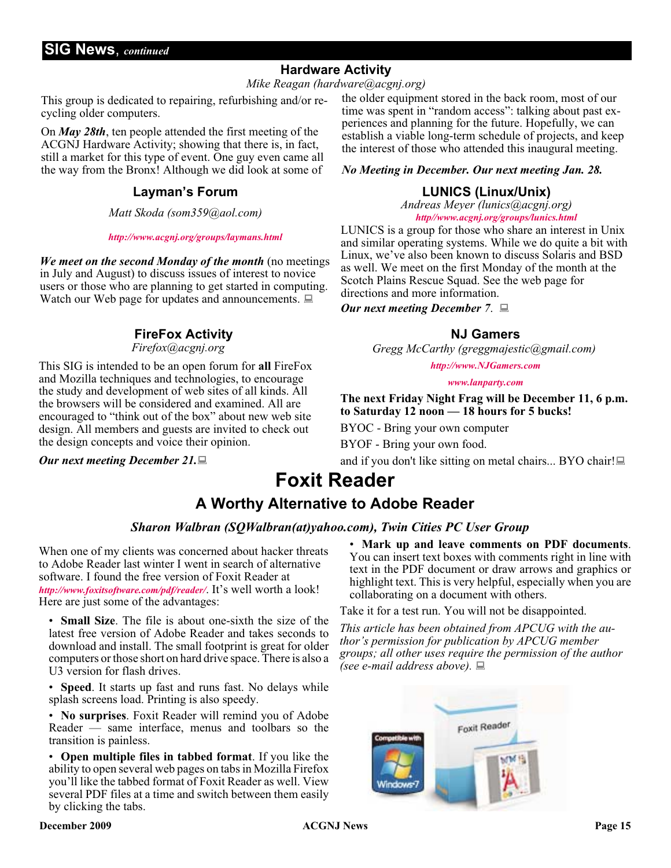## **Hardware Activity**

*Mike Reagan (hardware@acgnj.org)*

This group is dedicated to repairing, refurbishing and/or recycling older computers.

On *May 28th*, ten people attended the first meeting of the ACGNJ Hardware Activity; showing that there is, in fact, still a market for this type of event. One guy even came all the way from the Bronx! Although we did look at some of

## **Layman's Forum**

*Matt Skoda (som359@aol.com)*

#### *<http://www.acgnj.org/groups/laymans.html>*

*We meet on the second Monday of the month* (no meetings in July and August) to discuss issues of interest to novice users or those who are planning to get started in computing. Watch our Web page for updates and announcements.  $\Box$ 

## **FireFox Activity**

*Firefox@acgnj.org*

This SIG is intended to be an open forum for **all** FireFox and Mozilla techniques and technologies, to encourage the study and development of web sites of all kinds. All the browsers will be considered and examined. All are encouraged to "think out of the box" about new web site design. All members and guests are invited to check out the design concepts and voice their opinion.

*Our next meeting December 21.*

the older equipment stored in the back room, most of our time was spent in "random access": talking about past experiences and planning for the future. Hopefully, we can establish a viable long-term schedule of projects, and keep the interest of those who attended this inaugural meeting.

### *No Meeting in December. Our next meeting Jan. 28.*

## **LUNICS (Linux/Unix)**

*Andreas Meyer (lunics@acgnj.org) <http//www.acgnj.org/groups/lunics.html>*

LUNICS is a group for those who share an interest in Unix and similar operating systems. While we do quite a bit with Linux, we've also been known to discuss Solaris and BSD as well. We meet on the first Monday of the month at the Scotch Plains Rescue Squad. See the web page for directions and more information.

*Our next meeting December 7*.

## **NJ Gamers**

*Gregg McCarthy (greggmajestic@gmail.com)*

*<http://www.NJGamers.com>*

*[www.lanparty.com](http://www.lanparty.com)*

**The next Friday Night Frag will be December 11, 6 p.m. to Saturday 12 noon — 18 hours for 5 bucks!**

BYOC - Bring your own computer

BYOF - Bring your own food.

and if you don't like sitting on metal chairs... BYO chair!

## **Foxit Reader**

## **A Worthy Alternative to Adobe Reader**

## *Sharon Walbran (SQWalbran(at)yahoo.com), Twin Cities PC User Group*

When one of my clients was concerned about hacker threats to Adobe Reader last winter I went in search of alternative software. I found the free version of Foxit Reader at *<http://www.foxitsoftware.com/pdf/reader/>*. It's well worth a look! Here are just some of the advantages:

• **Small Size**. The file is about one-sixth the size of the latest free version of Adobe Reader and takes seconds to download and install. The small footprint is great for older computers or those short on hard drive space. There is also a U3 version for flash drives.

• **Speed**. It starts up fast and runs fast. No delays while splash screens load. Printing is also speedy.

• **No surprises**. Foxit Reader will remind you of Adobe Reader — same interface, menus and toolbars so the transition is painless.

• **Open multiple files in tabbed format**. If you like the ability to open several web pages on tabs in Mozilla Firefox you'll like the tabbed format of Foxit Reader as well. View several PDF files at a time and switch between them easily by clicking the tabs.

• **Mark up and leave comments on PDF documents**. You can insert text boxes with comments right in line with text in the PDF document or draw arrows and graphics or highlight text. This is very helpful, especially when you are collaborating on a document with others.

Take it for a test run. You will not be disappointed.

*This article has been obtained from APCUG with the author's permission for publication by APCUG member groups; all other uses require the permission of the author (see e-mail address above).*

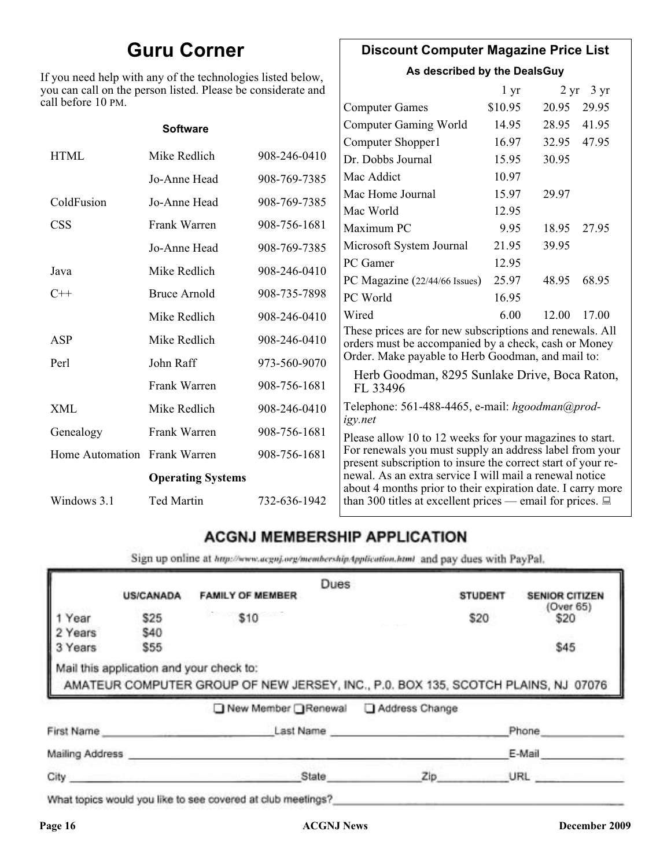## **Guru Corner**

If you need help with any of the technologies listed below, you can call on the person listed. Please be considerate and ca

## **Discount Computer Magazine Price List**

**As described by the DealsGuy**

| ou can call on the person listed. Please be considerate and<br>ll before 10 PM. |                          |              |                                                                                                                         | 1 <sub>yr</sub> |       | $2 \text{ yr}$ 3 yr |
|---------------------------------------------------------------------------------|--------------------------|--------------|-------------------------------------------------------------------------------------------------------------------------|-----------------|-------|---------------------|
|                                                                                 |                          |              | <b>Computer Games</b>                                                                                                   | \$10.95         | 20.95 | 29.95               |
|                                                                                 | <b>Software</b>          |              | <b>Computer Gaming World</b>                                                                                            | 14.95           | 28.95 | 41.95               |
|                                                                                 |                          |              | Computer Shopper1                                                                                                       | 16.97           | 32.95 | 47.95               |
| <b>HTML</b>                                                                     | Mike Redlich             | 908-246-0410 | Dr. Dobbs Journal                                                                                                       | 15.95           | 30.95 |                     |
|                                                                                 | Jo-Anne Head             | 908-769-7385 | Mac Addict                                                                                                              | 10.97           |       |                     |
| ColdFusion                                                                      | Jo-Anne Head             | 908-769-7385 | Mac Home Journal                                                                                                        | 15.97           | 29.97 |                     |
|                                                                                 |                          |              | Mac World                                                                                                               | 12.95           |       |                     |
| <b>CSS</b>                                                                      | Frank Warren             | 908-756-1681 | Maximum PC                                                                                                              | 9.95            | 18.95 | 27.95               |
|                                                                                 | Jo-Anne Head             | 908-769-7385 | Microsoft System Journal                                                                                                | 21.95           | 39.95 |                     |
| Java                                                                            | Mike Redlich             | 908-246-0410 | PC Gamer                                                                                                                | 12.95           |       |                     |
|                                                                                 |                          |              | PC Magazine (22/44/66 Issues)                                                                                           | 25.97           | 48.95 | 68.95               |
| $C++$                                                                           | <b>Bruce Arnold</b>      | 908-735-7898 | PC World                                                                                                                | 16.95           |       |                     |
|                                                                                 | Mike Redlich             | 908-246-0410 | Wired                                                                                                                   | 6.00            | 12.00 | 17.00               |
| ASP                                                                             | Mike Redlich             | 908-246-0410 | These prices are for new subscriptions and renewals. All<br>orders must be accompanied by a check, cash or Money        |                 |       |                     |
| Perl                                                                            | John Raff                | 973-560-9070 | Order. Make payable to Herb Goodman, and mail to:                                                                       |                 |       |                     |
|                                                                                 | Frank Warren             | 908-756-1681 | Herb Goodman, 8295 Sunlake Drive, Boca Raton,<br>FL 33496                                                               |                 |       |                     |
| XML                                                                             | Mike Redlich             | 908-246-0410 | Telephone: 561-488-4465, e-mail: hgoodman@prod-<br>igy.net                                                              |                 |       |                     |
| Genealogy                                                                       | Frank Warren             | 908-756-1681 | Please allow 10 to 12 weeks for your magazines to start.                                                                |                 |       |                     |
| Home Automation Frank Warren                                                    |                          | 908-756-1681 | For renewals you must supply an address label from your<br>present subscription to insure the correct start of your re- |                 |       |                     |
|                                                                                 | <b>Operating Systems</b> |              | newal. As an extra service I will mail a renewal notice<br>about 4 months prior to their expiration date. I carry more  |                 |       |                     |
| Windows 3.1                                                                     | <b>Ted Martin</b>        | 732-636-1942 | than 300 titles at excellent prices — email for prices. $\Box$                                                          |                 |       |                     |

## **ACGNJ MEMBERSHIP APPLICATION**

Sign up online at http://www.acguj.org/membershipApplication.html and pay dues with PayPal.

|                 |                  |                                                                                                                               | Dues |                |                |                       |
|-----------------|------------------|-------------------------------------------------------------------------------------------------------------------------------|------|----------------|----------------|-----------------------|
|                 | <b>US/CANADA</b> | <b>FAMILY OF MEMBER</b>                                                                                                       |      |                | <b>STUDENT</b> | <b>SENIOR CITIZEN</b> |
| Year            | \$25             | \$10                                                                                                                          |      |                | \$20           | (Over 65)<br>\$20     |
| 2 Years         | \$40             |                                                                                                                               |      |                |                |                       |
| 3 Years         | \$55             |                                                                                                                               |      |                |                | \$45                  |
|                 |                  | Mail this application and your check to:<br>AMATEUR COMPUTER GROUP OF NEW JERSEY, INC., P.0. BOX 135, SCOTCH PLAINS, NJ 07076 |      |                |                |                       |
|                 |                  | ■ New Member Renewal                                                                                                          |      | Address Change |                |                       |
| First Name      |                  | Last Name                                                                                                                     |      |                |                | Phone                 |
| Mailing Address |                  |                                                                                                                               |      |                |                | E-Mail                |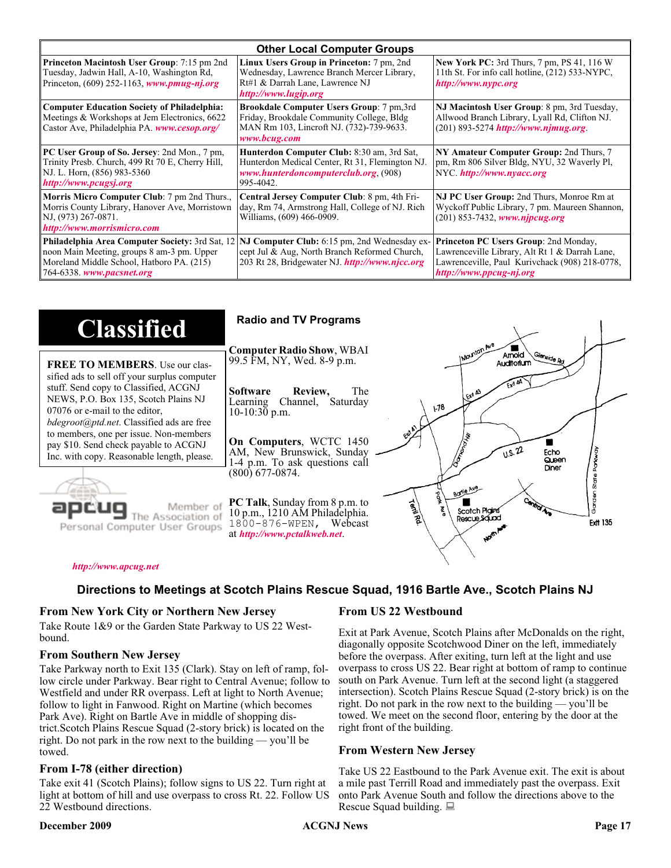| <b>Other Local Computer Groups</b>                                                                                                                                             |                                                                                                                                                           |                                                                                                                                                                      |  |  |
|--------------------------------------------------------------------------------------------------------------------------------------------------------------------------------|-----------------------------------------------------------------------------------------------------------------------------------------------------------|----------------------------------------------------------------------------------------------------------------------------------------------------------------------|--|--|
| <b>Princeton Macintosh User Group:</b> 7:15 pm 2nd<br>Tuesday, Jadwin Hall, A-10, Washington Rd,<br>Princeton, $(609)$ 252-1163, www.pmug-nj.org                               | Linux Users Group in Princeton: 7 pm, 2nd<br>Wednesday, Lawrence Branch Mercer Library,<br>Rt#1 & Darrah Lane, Lawrence NJ<br>http://www.lugip.org        | <b>New York PC:</b> 3rd Thurs, 7 pm, PS 41, 116 W<br>11th St. For info call hotline, (212) 533-NYPC,<br>http://www.nypc.org                                          |  |  |
| <b>Computer Education Society of Philadelphia:</b><br>Meetings & Workshops at Jem Electronics, 6622<br>Castor Ave, Philadelphia PA. www.cesop.org/                             | <b>Brookdale Computer Users Group:</b> 7 pm, 3rd<br>Friday, Brookdale Community College, Bldg<br>MAN Rm 103, Lincroft NJ. (732)-739-9633.<br>www.bcug.com | NJ Macintosh User Group: 8 pm, 3rd Tuesday,<br>Allwood Branch Library, Lyall Rd, Clifton NJ.<br>$(201) 893 - 5274$ http://www.njmug.org.                             |  |  |
| PC User Group of So. Jersey: 2nd Mon., 7 pm,<br>Trinity Presb. Church, 499 Rt 70 E, Cherry Hill,<br>NJ. L. Horn, (856) 983-5360<br>http://www.pcugsj.org                       | Hunterdon Computer Club: 8:30 am, 3rd Sat,<br>Hunterdon Medical Center, Rt 31, Flemington NJ.<br>www.hunterdoncomputerclub.org. (908)<br>995-4042.        | NY Amateur Computer Group: 2nd Thurs, 7<br>pm, Rm 806 Silver Bldg, NYU, 32 Waverly Pl,<br>NYC http://www.nyacc.org                                                   |  |  |
| Morris Micro Computer Club: 7 pm 2nd Thurs.,<br>Morris County Library, Hanover Ave, Morristown<br>NJ, (973) 267-0871.<br>http://www.morrismicro.com                            | Central Jersey Computer Club: 8 pm, 4th Fri-<br>day, Rm 74, Armstrong Hall, College of NJ. Rich<br>Williams, (609) 466-0909.                              | NJ PC User Group: 2nd Thurs, Monroe Rm at<br>Wyckoff Public Library, 7 pm. Maureen Shannon,<br>$(201)$ 853-7432, www.njpcug.org                                      |  |  |
| <b>Philadelphia Area Computer Society: 3rd Sat, 12</b><br>noon Main Meeting, groups 8 am-3 pm. Upper<br>Moreland Middle School, Hatboro PA. (215)<br>764-6338. www.pacsnet.org | NJ Computer Club: 6:15 pm, 2nd Wednesday ex-<br>cept Jul & Aug, North Branch Reformed Church,<br>203 Rt 28, Bridgewater NJ <i>http://www.njcc.org</i>     | Princeton PC Users Group: 2nd Monday,<br>Lawrenceville Library, Alt Rt 1 & Darrah Lane,<br>Lawrenceville, Paul Kurivchack (908) 218-0778,<br>http://www.ppcug-nj.org |  |  |

| <b>Classified</b>                                                                                                                                                                                                                                                                                                                                                                             | <b>Radio and TV Programs</b>                                                                                                                                                                                                                                                                                                                                           |
|-----------------------------------------------------------------------------------------------------------------------------------------------------------------------------------------------------------------------------------------------------------------------------------------------------------------------------------------------------------------------------------------------|------------------------------------------------------------------------------------------------------------------------------------------------------------------------------------------------------------------------------------------------------------------------------------------------------------------------------------------------------------------------|
| <b>FREE TO MEMBERS.</b> Use our clas-<br>sified ads to sell off your surplus computer<br>stuff. Send copy to Classified, ACGNJ<br>NEWS, P.O. Box 135, Scotch Plains NJ<br>07076 or e-mail to the editor,<br><i>bdegroot@ptd.net.</i> Classified ads are free<br>to members, one per issue. Non-members<br>pay \$10. Send check payable to ACGNJ<br>Inc. with copy. Reasonable length, please. | IMOUNTON AVE<br><b>Computer Radio Show, WBAI</b><br>Amold<br>Slenside Rd<br>99.5 FM, NY, Wed. 8-9 p.m.<br>Auditorium<br>The<br><b>Software</b><br>Review,<br>L Exit A3<br>Channel, Saturday<br>Learning<br>$\sqrt{3}$<br>$10-10:30$ p.m.<br>On Computers, WCTC 1450<br>0.5.22<br>AM, New Brunswick, Sunday<br>Echo<br>Queen<br>1-4 p.m. To ask questions call<br>Diner |
| Member of<br>ociation of<br>Personal Computer User Groups                                                                                                                                                                                                                                                                                                                                     | (800) 677-0874.<br>Borle Ave<br>D<br><b>Cantrol Ave</b><br><b>PC Talk</b> , Sunday from 8 p.m. to<br>Territory<br>Scotch Plains<br>10 p.m., 1210 AM Philadelphia.<br>Rescue Sound<br><b>Ext 135</b><br>1800-876-WPEN, Webcast<br>at http://www.pctalkweb.net.<br>$\mathbf{v}_{q}$                                                                                      |

#### *<http://www.apcug.net>*

## **Directions to Meetings at Scotch Plains Rescue Squad, 1916 Bartle Ave., Scotch Plains NJ**

#### **From New York City or Northern New Jersey**

Take Route 1&9 or the Garden State Parkway to US 22 Westbound.

#### **From Southern New Jersey**

Take Parkway north to Exit 135 (Clark). Stay on left of ramp, follow circle under Parkway. Bear right to Central Avenue; follow to Westfield and under RR overpass. Left at light to North Avenue; follow to light in Fanwood. Right on Martine (which becomes Park Ave). Right on Bartle Ave in middle of shopping district.Scotch Plains Rescue Squad (2-story brick) is located on the right. Do not park in the row next to the building — you'll be towed.

#### **From I-78 (either direction)**

Take exit 41 (Scotch Plains); follow signs to US 22. Turn right at light at bottom of hill and use overpass to cross Rt. 22. Follow US 22 Westbound directions.

#### **December 2009 ACGNJ News Page 17**

#### **From US 22 Westbound**

Exit at Park Avenue, Scotch Plains after McDonalds on the right, diagonally opposite Scotchwood Diner on the left, immediately before the overpass. After exiting, turn left at the light and use overpass to cross US 22. Bear right at bottom of ramp to continue south on Park Avenue. Turn left at the second light (a staggered intersection). Scotch Plains Rescue Squad (2-story brick) is on the right. Do not park in the row next to the building — you'll be towed. We meet on the second floor, entering by the door at the right front of the building.

#### **From Western New Jersey**

Take US 22 Eastbound to the Park Avenue exit. The exit is about a mile past Terrill Road and immediately past the overpass. Exit onto Park Avenue South and follow the directions above to the Rescue Squad building.